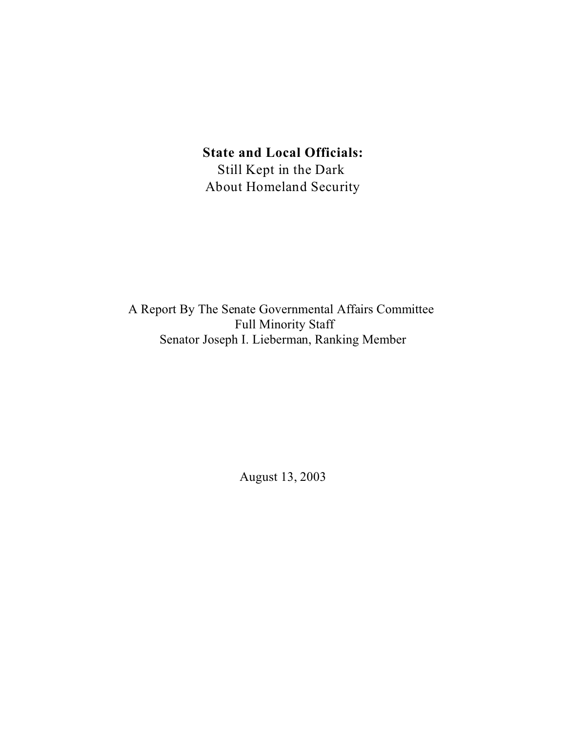# **State and Local Officials:**

Still Kept in the Dark About Homeland Security

A Report By The Senate Governmental Affairs Committee Full Minority Staff Senator Joseph I. Lieberman, Ranking Member

August 13, 2003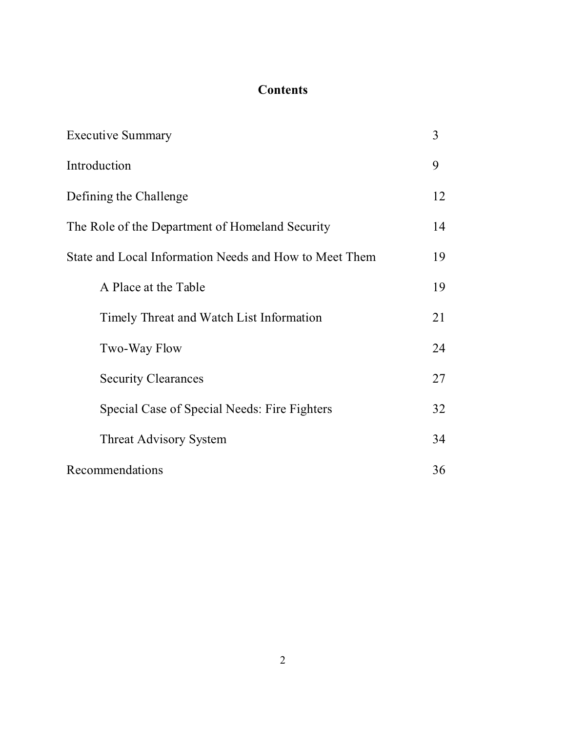# **Contents**

| <b>Executive Summary</b>                               | 3  |
|--------------------------------------------------------|----|
| Introduction                                           | 9  |
| Defining the Challenge                                 | 12 |
| The Role of the Department of Homeland Security        | 14 |
| State and Local Information Needs and How to Meet Them | 19 |
| A Place at the Table                                   | 19 |
| Timely Threat and Watch List Information               | 21 |
| Two-Way Flow                                           | 24 |
| <b>Security Clearances</b>                             | 27 |
| Special Case of Special Needs: Fire Fighters           | 32 |
| <b>Threat Advisory System</b>                          | 34 |
| Recommendations                                        | 36 |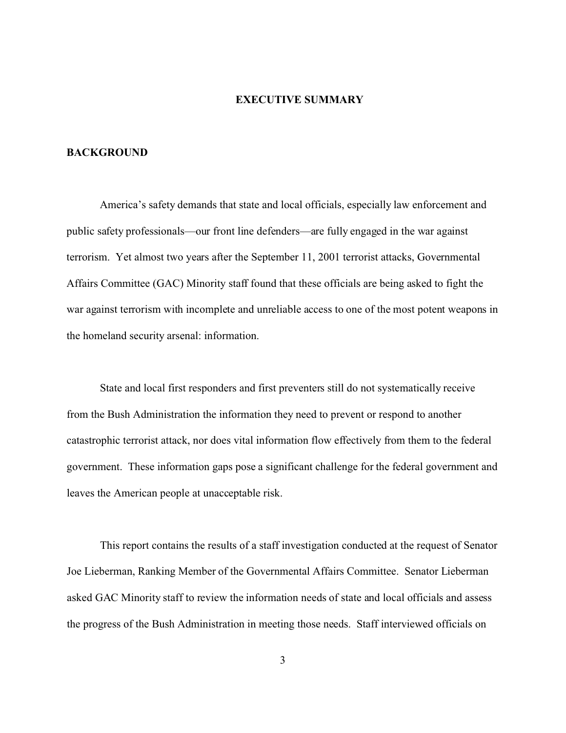#### **EXECUTIVE SUMMARY**

## **BACKGROUND**

America's safety demands that state and local officials, especially law enforcement and public safety professionals—our front line defenders—are fully engaged in the war against terrorism. Yet almost two years after the September 11, 2001 terrorist attacks, Governmental Affairs Committee (GAC) Minority staff found that these officials are being asked to fight the war against terrorism with incomplete and unreliable access to one of the most potent weapons in the homeland security arsenal: information.

State and local first responders and first preventers still do not systematically receive from the Bush Administration the information they need to prevent or respond to another catastrophic terrorist attack, nor does vital information flow effectively from them to the federal government. These information gaps pose a significant challenge for the federal government and leaves the American people at unacceptable risk.

This report contains the results of a staff investigation conducted at the request of Senator Joe Lieberman, Ranking Member of the Governmental Affairs Committee. Senator Lieberman asked GAC Minority staff to review the information needs of state and local officials and assess the progress of the Bush Administration in meeting those needs. Staff interviewed officials on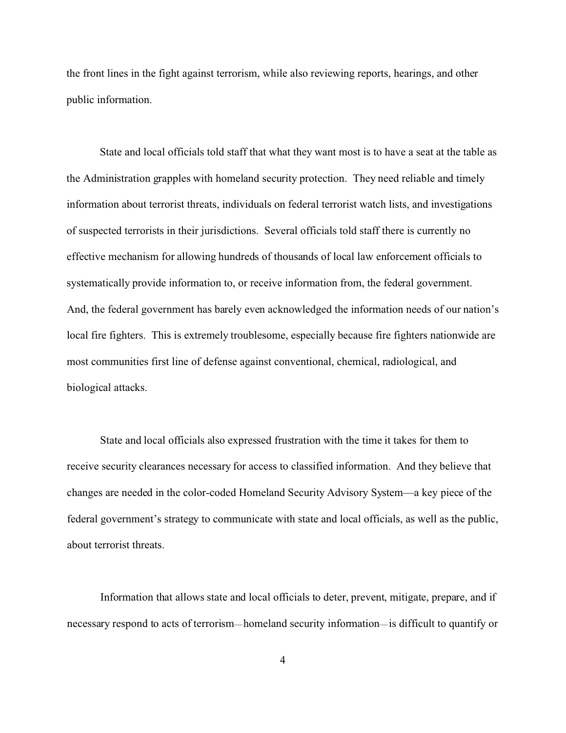the front lines in the fight against terrorism, while also reviewing reports, hearings, and other public information.

State and local officials told staff that what they want most is to have a seat at the table as the Administration grapples with homeland security protection. They need reliable and timely information about terrorist threats, individuals on federal terrorist watch lists, and investigations of suspected terrorists in their jurisdictions. Several officials told staff there is currently no effective mechanism for allowing hundreds of thousands of local law enforcement officials to systematically provide information to, or receive information from, the federal government. And, the federal government has barely even acknowledged the information needs of our nation's local fire fighters. This is extremely troublesome, especially because fire fighters nationwide are most communities first line of defense against conventional, chemical, radiological, and biological attacks.

State and local officials also expressed frustration with the time it takes for them to receive security clearances necessary for access to classified information. And they believe that changes are needed in the color-coded Homeland Security Advisory System—a key piece of the federal government's strategy to communicate with state and local officials, as well as the public, about terrorist threats.

Information that allows state and local officials to deter, prevent, mitigate, prepare, and if necessary respond to acts of terrorism—homeland security information—is difficult to quantify or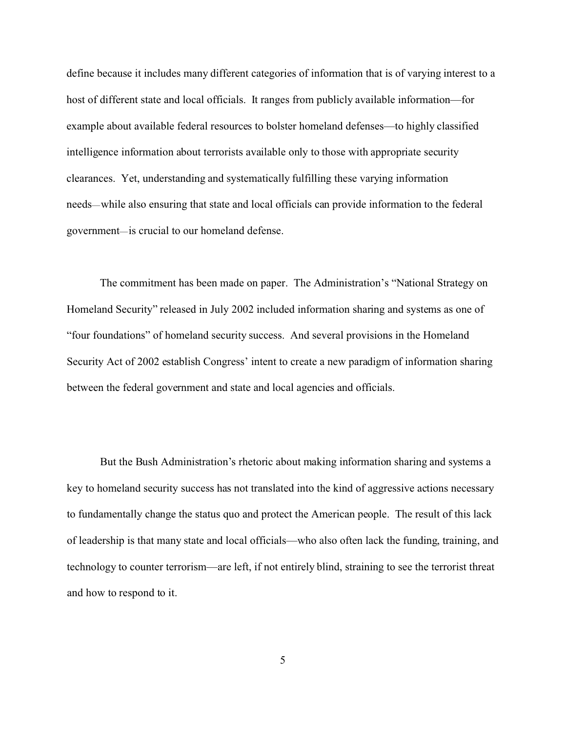define because it includes many different categories of information that is of varying interest to a host of different state and local officials. It ranges from publicly available information—for example about available federal resources to bolster homeland defenses—to highly classified intelligence information about terrorists available only to those with appropriate security clearances. Yet, understanding and systematically fulfilling these varying information needs—while also ensuring that state and local officials can provide information to the federal government—is crucial to our homeland defense.

The commitment has been made on paper. The Administration's "National Strategy on Homeland Security" released in July 2002 included information sharing and systems as one of "four foundations" of homeland security success. And several provisions in the Homeland Security Act of 2002 establish Congress' intent to create a new paradigm of information sharing between the federal government and state and local agencies and officials.

But the Bush Administration's rhetoric about making information sharing and systems a key to homeland security success has not translated into the kind of aggressive actions necessary to fundamentally change the status quo and protect the American people. The result of this lack of leadership is that many state and local officials—who also often lack the funding, training, and technology to counter terrorism—are left, if not entirely blind, straining to see the terrorist threat and how to respond to it.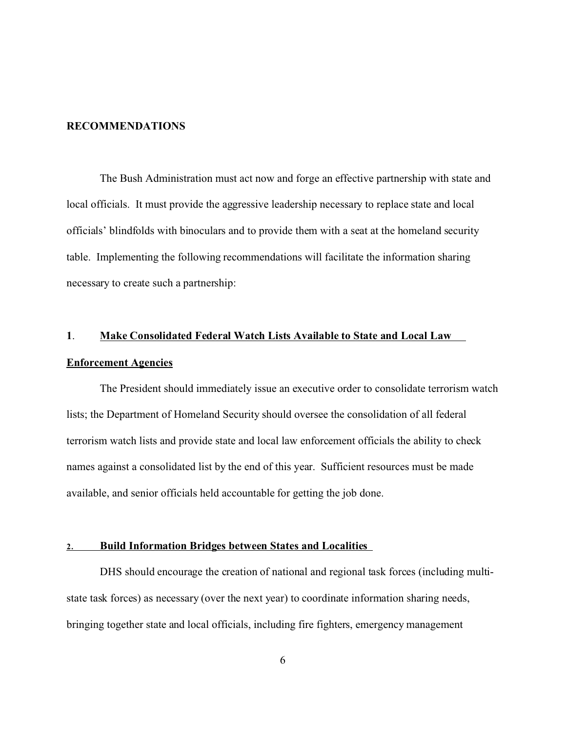#### **RECOMMENDATIONS**

The Bush Administration must act now and forge an effective partnership with state and local officials. It must provide the aggressive leadership necessary to replace state and local officials' blindfolds with binoculars and to provide them with a seat at the homeland security table. Implementing the following recommendations will facilitate the information sharing necessary to create such a partnership:

# **1**. **Make Consolidated Federal Watch Lists Available to State and Local Law Enforcement Agencies**

The President should immediately issue an executive order to consolidate terrorism watch lists; the Department of Homeland Security should oversee the consolidation of all federal terrorism watch lists and provide state and local law enforcement officials the ability to check names against a consolidated list by the end of this year. Sufficient resources must be made available, and senior officials held accountable for getting the job done.

## **2. Build Information Bridges between States and Localities**

DHS should encourage the creation of national and regional task forces (including multistate task forces) as necessary (over the next year) to coordinate information sharing needs, bringing together state and local officials, including fire fighters, emergency management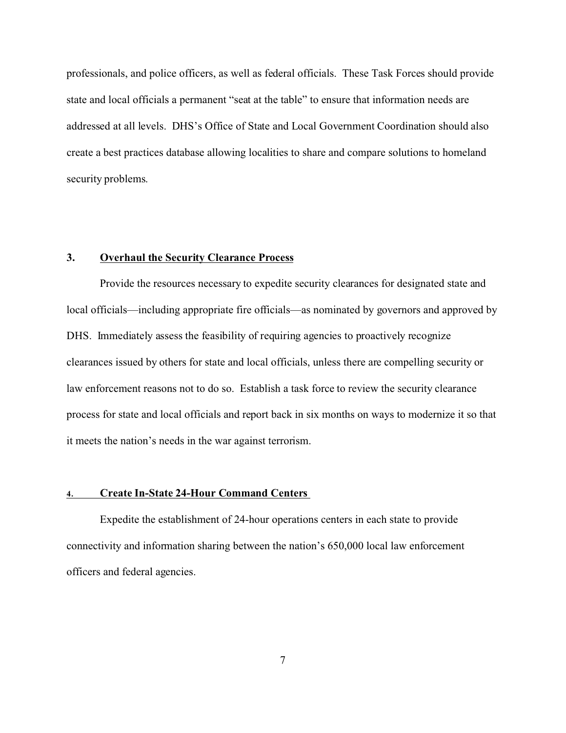professionals, and police officers, as well as federal officials. These Task Forces should provide state and local officials a permanent "seat at the table" to ensure that information needs are addressed at all levels. DHS's Office of State and Local Government Coordination should also create a best practices database allowing localities to share and compare solutions to homeland security problems.

## **3. Overhaul the Security Clearance Process**

Provide the resources necessary to expedite security clearances for designated state and local officials—including appropriate fire officials—as nominated by governors and approved by DHS. Immediately assess the feasibility of requiring agencies to proactively recognize clearances issued by others for state and local officials, unless there are compelling security or law enforcement reasons not to do so. Establish a task force to review the security clearance process for state and local officials and report back in six months on ways to modernize it so that it meets the nation's needs in the war against terrorism.

#### **4. Create In-State 24-Hour Command Centers**

Expedite the establishment of 24-hour operations centers in each state to provide connectivity and information sharing between the nation's 650,000 local law enforcement officers and federal agencies.

7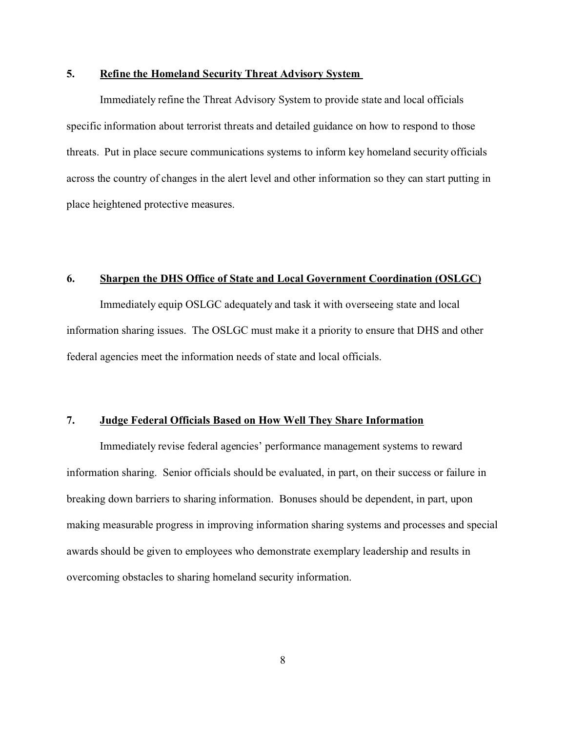### **5. Refine the Homeland Security Threat Advisory System**

Immediately refine the Threat Advisory System to provide state and local officials specific information about terrorist threats and detailed guidance on how to respond to those threats. Put in place secure communications systems to inform key homeland security officials across the country of changes in the alert level and other information so they can start putting in place heightened protective measures.

# **6. Sharpen the DHS Office of State and Local Government Coordination (OSLGC)**

Immediately equip OSLGC adequately and task it with overseeing state and local information sharing issues. The OSLGC must make it a priority to ensure that DHS and other federal agencies meet the information needs of state and local officials.

## **7. Judge Federal Officials Based on How Well They Share Information**

Immediately revise federal agencies' performance management systems to reward information sharing. Senior officials should be evaluated, in part, on their success or failure in breaking down barriers to sharing information. Bonuses should be dependent, in part, upon making measurable progress in improving information sharing systems and processes and special awards should be given to employees who demonstrate exemplary leadership and results in overcoming obstacles to sharing homeland security information.

8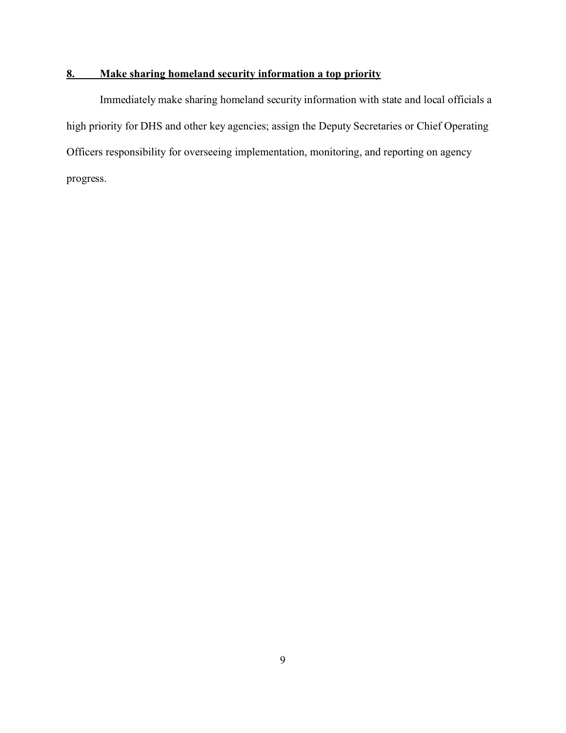# **8. Make sharing homeland security information a top priority**

Immediately make sharing homeland security information with state and local officials a high priority for DHS and other key agencies; assign the Deputy Secretaries or Chief Operating Officers responsibility for overseeing implementation, monitoring, and reporting on agency progress.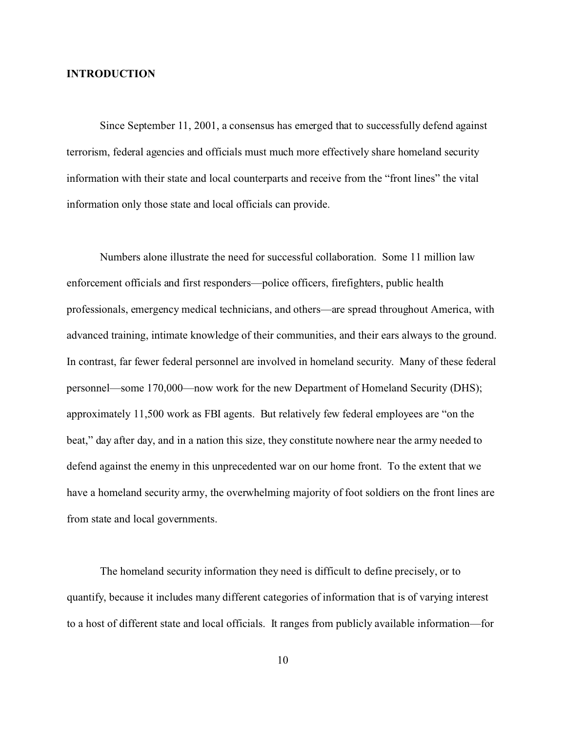#### **INTRODUCTION**

Since September 11, 2001, a consensus has emerged that to successfully defend against terrorism, federal agencies and officials must much more effectively share homeland security information with their state and local counterparts and receive from the "front lines" the vital information only those state and local officials can provide.

Numbers alone illustrate the need for successful collaboration. Some 11 million law enforcement officials and first responders—police officers, firefighters, public health professionals, emergency medical technicians, and others—are spread throughout America, with advanced training, intimate knowledge of their communities, and their ears always to the ground. In contrast, far fewer federal personnel are involved in homeland security. Many of these federal personnel—some 170,000—now work for the new Department of Homeland Security (DHS); approximately 11,500 work as FBI agents. But relatively few federal employees are "on the beat," day after day, and in a nation this size, they constitute nowhere near the army needed to defend against the enemy in this unprecedented war on our home front. To the extent that we have a homeland security army, the overwhelming majority of foot soldiers on the front lines are from state and local governments.

The homeland security information they need is difficult to define precisely, or to quantify, because it includes many different categories of information that is of varying interest to a host of different state and local officials. It ranges from publicly available information—for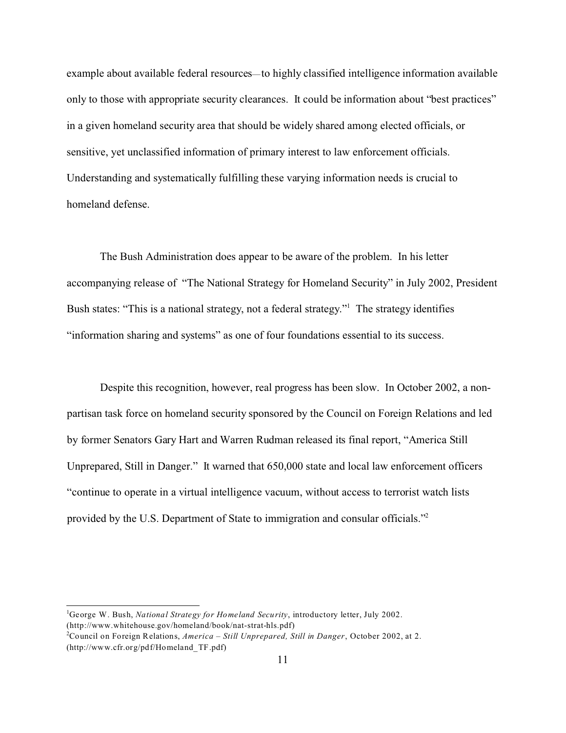example about available federal resources—to highly classified intelligence information available only to those with appropriate security clearances. It could be information about "best practices" in a given homeland security area that should be widely shared among elected officials, or sensitive, yet unclassified information of primary interest to law enforcement officials. Understanding and systematically fulfilling these varying information needs is crucial to homeland defense.

The Bush Administration does appear to be aware of the problem. In his letter accompanying release of "The National Strategy for Homeland Security" in July 2002, President Bush states: "This is a national strategy, not a federal strategy."<sup>1</sup> The strategy identifies "information sharing and systems" as one of four foundations essential to its success.

Despite this recognition, however, real progress has been slow. In October 2002, a nonpartisan task force on homeland security sponsored by the Council on Foreign Relations and led by former Senators Gary Hart and Warren Rudman released its final report, "America Still Unprepared, Still in Danger." It warned that 650,000 state and local law enforcement officers "continue to operate in a virtual intelligence vacuum, without access to terrorist watch lists provided by the U.S. Department of State to immigration and consular officials."2

<sup>1</sup>George W. Bush, *National Strategy for Homeland Security*, introductory letter, July 2002. (http://www.whitehouse.gov/homeland/book/nat-strat-hls.pdf)

<sup>2</sup>Council on Foreign Relations, *America – Still Unprepared, Still in Danger*, October 2002, at 2. (http://www.cfr.org/pdf/Homeland\_TF.pdf)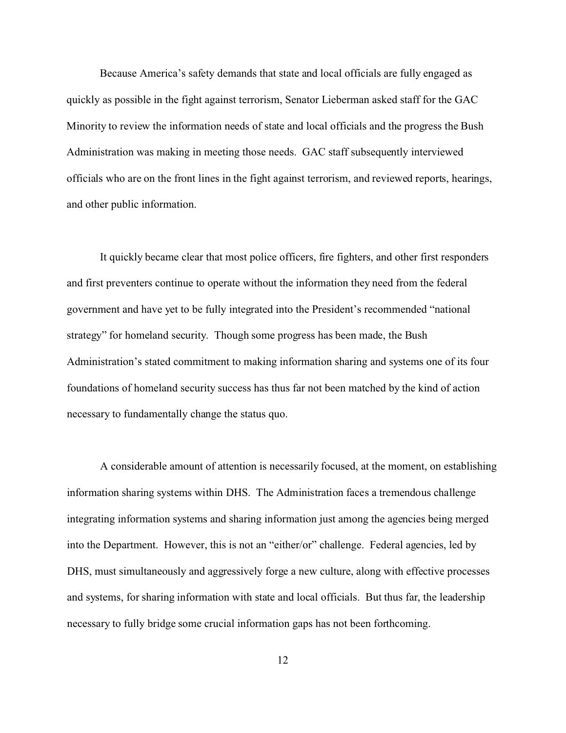Because America's safety demands that state and local officials are fully engaged as quickly as possible in the fight against terrorism, Senator Lieberman asked staff for the GAC Minority to review the information needs of state and local officials and the progress the Bush Administration was making in meeting those needs. GAC staff subsequently interviewed officials who are on the front lines in the fight against terrorism, and reviewed reports, hearings, and other public information.

It quickly became clear that most police officers, fire fighters, and other first responders and first preventers continue to operate without the information they need from the federal government and have yet to be fully integrated into the President's recommended "national strategy" for homeland security. Though some progress has been made, the Bush Administration's stated commitment to making information sharing and systems one of its four foundations of homeland security success has thus far not been matched by the kind of action necessary to fundamentally change the status quo.

A considerable amount of attention is necessarily focused, at the moment, on establishing information sharing systems within DHS. The Administration faces a tremendous challenge integrating information systems and sharing information just among the agencies being merged into the Department. However, this is not an "either/or" challenge. Federal agencies, led by DHS, must simultaneously and aggressively forge a new culture, along with effective processes and systems, for sharing information with state and local officials. But thus far, the leadership necessary to fully bridge some crucial information gaps has not been forthcoming.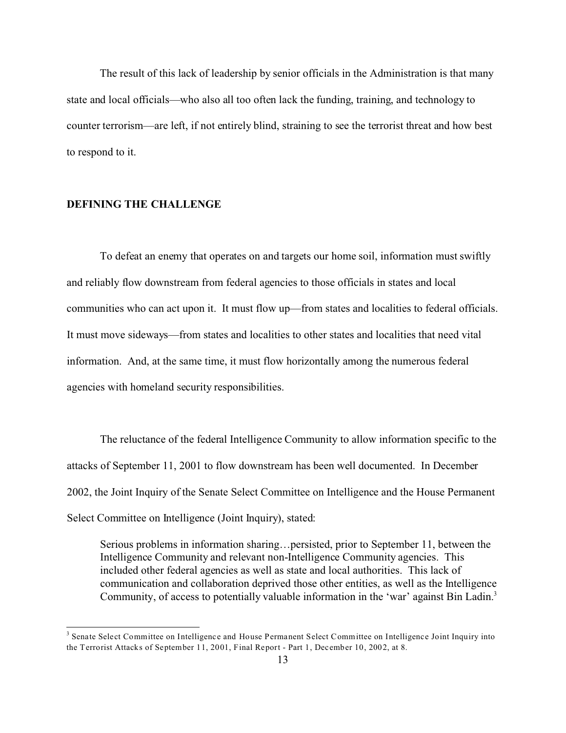The result of this lack of leadership by senior officials in the Administration is that many state and local officials—who also all too often lack the funding, training, and technology to counter terrorism—are left, if not entirely blind, straining to see the terrorist threat and how best to respond to it.

## **DEFINING THE CHALLENGE**

To defeat an enemy that operates on and targets our home soil, information must swiftly and reliably flow downstream from federal agencies to those officials in states and local communities who can act upon it. It must flow up—from states and localities to federal officials. It must move sideways—from states and localities to other states and localities that need vital information. And, at the same time, it must flow horizontally among the numerous federal agencies with homeland security responsibilities.

The reluctance of the federal Intelligence Community to allow information specific to the attacks of September 11, 2001 to flow downstream has been well documented. In December 2002, the Joint Inquiry of the Senate Select Committee on Intelligence and the House Permanent Select Committee on Intelligence (Joint Inquiry), stated:

Serious problems in information sharing…persisted, prior to September 11, between the Intelligence Community and relevant non-Intelligence Community agencies. This included other federal agencies as well as state and local authorities. This lack of communication and collaboration deprived those other entities, as well as the Intelligence Community, of access to potentially valuable information in the 'war' against Bin Ladin.<sup>3</sup>

<sup>&</sup>lt;sup>3</sup> Senate Select Committee on Intelligence and House Permanent Select Committee on Intelligence Joint Inquiry into the Terrorist Attacks of September 11, 2001, Final Report - Part 1, December 10, 2002, at 8.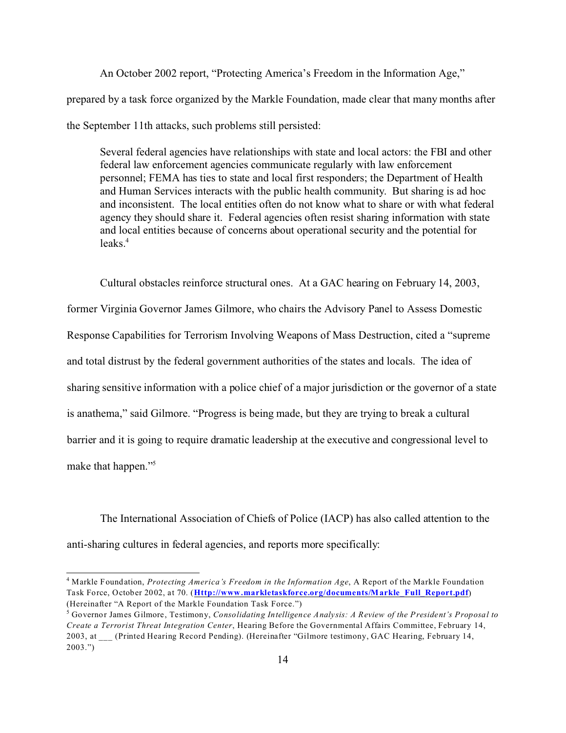An October 2002 report, "Protecting America's Freedom in the Information Age," prepared by a task force organized by the Markle Foundation, made clear that many months after the September 11th attacks, such problems still persisted:

Several federal agencies have relationships with state and local actors: the FBI and other federal law enforcement agencies communicate regularly with law enforcement personnel; FEMA has ties to state and local first responders; the Department of Health and Human Services interacts with the public health community. But sharing is ad hoc and inconsistent. The local entities often do not know what to share or with what federal agency they should share it. Federal agencies often resist sharing information with state and local entities because of concerns about operational security and the potential for  $leaks<sup>4</sup>$ 

Cultural obstacles reinforce structural ones. At a GAC hearing on February 14, 2003, former Virginia Governor James Gilmore, who chairs the Advisory Panel to Assess Domestic Response Capabilities for Terrorism Involving Weapons of Mass Destruction, cited a "supreme and total distrust by the federal government authorities of the states and locals. The idea of sharing sensitive information with a police chief of a major jurisdiction or the governor of a state is anathema," said Gilmore. "Progress is being made, but they are trying to break a cultural barrier and it is going to require dramatic leadership at the executive and congressional level to make that happen."<sup>5</sup>

The International Association of Chiefs of Police (IACP) has also called attention to the anti-sharing cultures in federal agencies, and reports more specifically:

<sup>4</sup> Markle Foundation, *Protecting America's Freedom in the Information Age*, A Report of the Markle Foundation Task Force, October 2002, at 70. (**Http://www.markletaskforce.org/documents/Markle\_Full\_Report.pdf**) (Hereinafter "A Report of the Markle Foundation Task Force.")

<sup>5</sup> Governor James Gilmore, Testimony, *Consolidating Intelligence Analysis: A Review of the President's Proposal to Create a Terrorist Threat Integration Center*, Hearing Before the Governmental Affairs Committee, February 14, 2003, at (Printed Hearing Record Pending). (Hereinafter "Gilmore testimony, GAC Hearing, February 14, 2003.")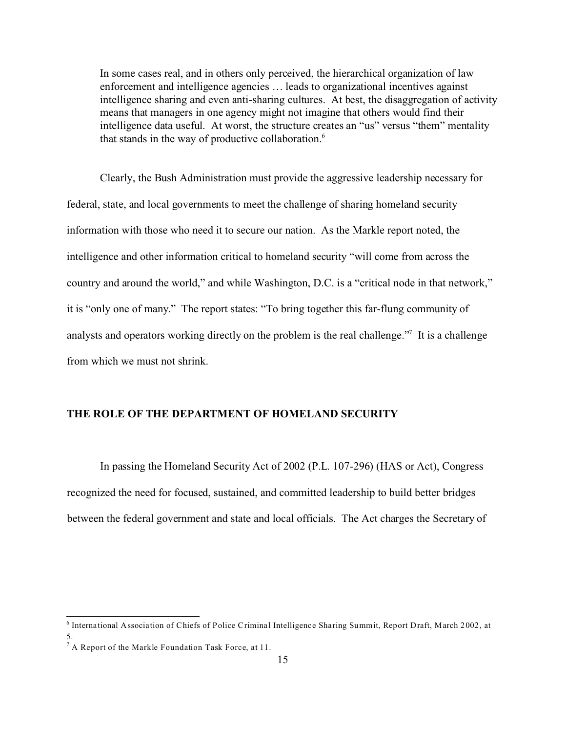In some cases real, and in others only perceived, the hierarchical organization of law enforcement and intelligence agencies … leads to organizational incentives against intelligence sharing and even anti-sharing cultures. At best, the disaggregation of activity means that managers in one agency might not imagine that others would find their intelligence data useful. At worst, the structure creates an "us" versus "them" mentality that stands in the way of productive collaboration.<sup>6</sup>

Clearly, the Bush Administration must provide the aggressive leadership necessary for federal, state, and local governments to meet the challenge of sharing homeland security information with those who need it to secure our nation. As the Markle report noted, the intelligence and other information critical to homeland security "will come from across the country and around the world," and while Washington, D.C. is a "critical node in that network," it is "only one of many." The report states: "To bring together this far-flung community of analysts and operators working directly on the problem is the real challenge."<sup>7</sup> It is a challenge from which we must not shrink.

# **THE ROLE OF THE DEPARTMENT OF HOMELAND SECURITY**

In passing the Homeland Security Act of 2002 (P.L. 107-296) (HAS or Act), Congress recognized the need for focused, sustained, and committed leadership to build better bridges between the federal government and state and local officials. The Act charges the Secretary of

<sup>&</sup>lt;sup>6</sup> International Association of Chiefs of Police Criminal Intelligence Sharing Summit, Report Draft, March 2002, at 5.

<sup>&</sup>lt;sup>7</sup> A Report of the Markle Foundation Task Force, at 11.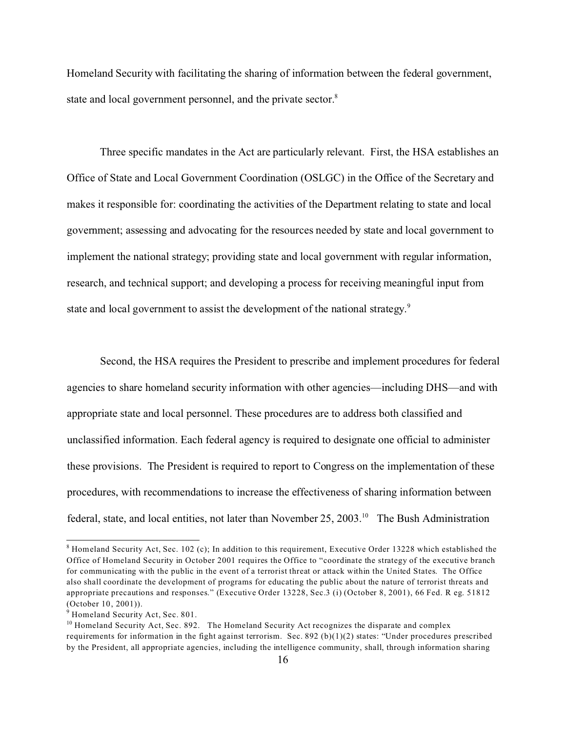Homeland Security with facilitating the sharing of information between the federal government, state and local government personnel, and the private sector.<sup>8</sup>

Three specific mandates in the Act are particularly relevant. First, the HSA establishes an Office of State and Local Government Coordination (OSLGC) in the Office of the Secretary and makes it responsible for: coordinating the activities of the Department relating to state and local government; assessing and advocating for the resources needed by state and local government to implement the national strategy; providing state and local government with regular information, research, and technical support; and developing a process for receiving meaningful input from state and local government to assist the development of the national strategy.<sup>9</sup>

Second, the HSA requires the President to prescribe and implement procedures for federal agencies to share homeland security information with other agencies—including DHS—and with appropriate state and local personnel. These procedures are to address both classified and unclassified information. Each federal agency is required to designate one official to administer these provisions. The President is required to report to Congress on the implementation of these procedures, with recommendations to increase the effectiveness of sharing information between federal, state, and local entities, not later than November 25, 2003.<sup>10</sup> The Bush Administration

 $^8$  Homeland Security Act, Sec. 102 (c); In addition to this requirement, Executive Order 13228 which established the Office of Homeland Security in October 2001 requires the Office to "coordinate the strategy of the executive branch for communicating with the public in the event of a terrorist threat or attack within the United States. The Office also shall coordinate the development of programs for educating the public about the nature of terrorist threats and appropriate precautions and responses." (Executive Order 13228, Sec.3 (i) (October 8, 2001), 66 Fed. R eg. 51812 (October 10, 2001)).

<sup>&</sup>lt;sup>9</sup> Homeland Security Act, Sec. 801.

<sup>&</sup>lt;sup>10</sup> Homeland Security Act, Sec. 892. The Homeland Security Act recognizes the disparate and complex requirements for information in the fight against terrorism. Sec. 892 (b)(1)(2) states: "Under procedures prescribed by the President, all appropriate agencies, including the intelligence community, shall, through information sharing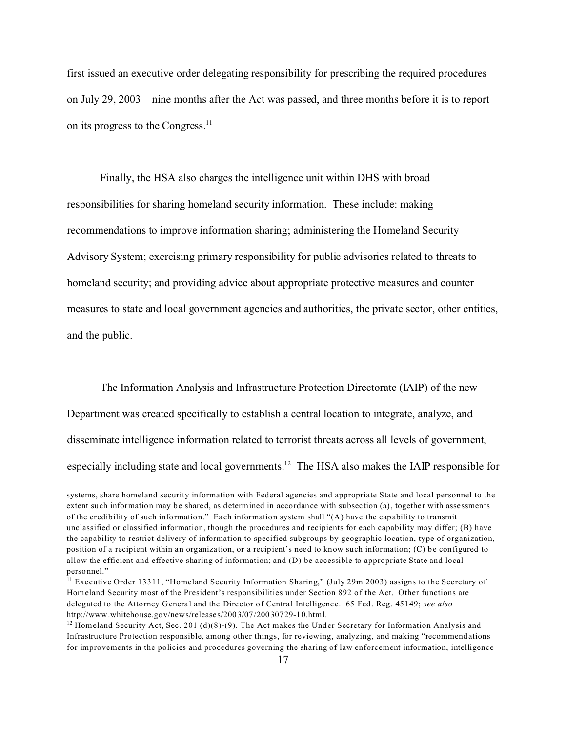first issued an executive order delegating responsibility for prescribing the required procedures on July 29, 2003 – nine months after the Act was passed, and three months before it is to report on its progress to the Congress.<sup>11</sup>

Finally, the HSA also charges the intelligence unit within DHS with broad responsibilities for sharing homeland security information. These include: making recommendations to improve information sharing; administering the Homeland Security Advisory System; exercising primary responsibility for public advisories related to threats to homeland security; and providing advice about appropriate protective measures and counter measures to state and local government agencies and authorities, the private sector, other entities, and the public.

The Information Analysis and Infrastructure Protection Directorate (IAIP) of the new Department was created specifically to establish a central location to integrate, analyze, and disseminate intelligence information related to terrorist threats across all levels of government, especially including state and local governments.<sup>12</sup> The HSA also makes the IAIP responsible for

systems, share homeland security information with Federal agencies and appropriate State and local personnel to the extent such information may be shared, as determined in accordance with subsection (a), together with assessments of the credibility of such information." Each information system shall "(A) have the capability to transmit unclassified or classified information, though the procedures and recipients for each capability may differ; (B) have the capability to restrict delivery of information to specified subgroups by geographic location, type of organization, position of a recipient within an organization, or a recipient's need to know such information; (C) be configured to allow the efficient and effective sharing of information; and (D) be accessible to appropriate State and local personnel."

<sup>&</sup>lt;sup>11</sup> Executive Order 13311, "Homeland Security Information Sharing," (July 29m 2003) assigns to the Secretary of Homeland Security most of the President's responsibilities under Section 892 of the Act. Other functions are delegated to the Attorney General and the Director of Central Intelligence. 65 Fed. Reg. 45149; *see also* http://www.whitehouse.gov/news/releases/2003/07/20030729-10.html.

<sup>&</sup>lt;sup>12</sup> Homeland Security Act, Sec. 201 (d)(8)-(9). The Act makes the Under Secretary for Information Analysis and Infrastructure Protection responsible, among other things, for reviewing, analyzing, and making "recommendations for improvements in the policies and procedures governing the sharing of law enforcement information, intelligence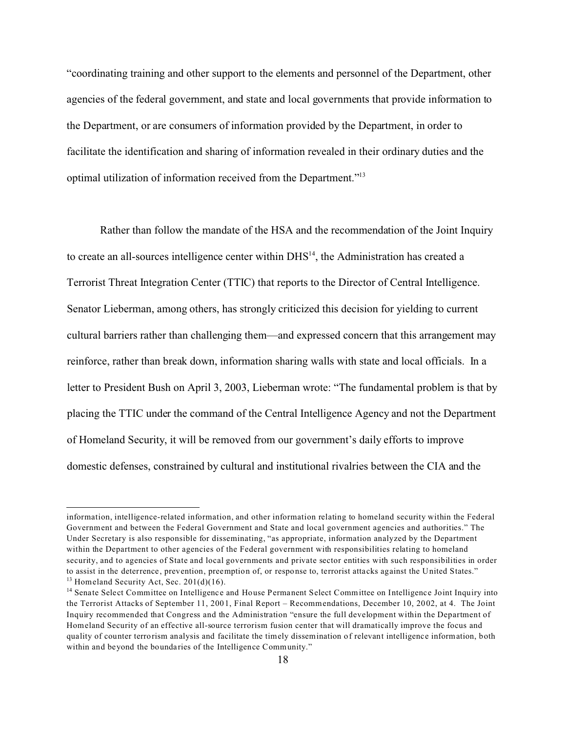"coordinating training and other support to the elements and personnel of the Department, other agencies of the federal government, and state and local governments that provide information to the Department, or are consumers of information provided by the Department, in order to facilitate the identification and sharing of information revealed in their ordinary duties and the optimal utilization of information received from the Department."<sup>13</sup>

Rather than follow the mandate of the HSA and the recommendation of the Joint Inquiry to create an all-sources intelligence center within DHS<sup>14</sup>, the Administration has created a Terrorist Threat Integration Center (TTIC) that reports to the Director of Central Intelligence. Senator Lieberman, among others, has strongly criticized this decision for yielding to current cultural barriers rather than challenging them—and expressed concern that this arrangement may reinforce, rather than break down, information sharing walls with state and local officials. In a letter to President Bush on April 3, 2003, Lieberman wrote: "The fundamental problem is that by placing the TTIC under the command of the Central Intelligence Agency and not the Department of Homeland Security, it will be removed from our government's daily efforts to improve domestic defenses, constrained by cultural and institutional rivalries between the CIA and the

information, intelligence-related information, and other information relating to homeland security within the Federal Government and between the Federal Government and State and local government agencies and authorities." The Under Secretary is also responsible for disseminating, "as appropriate, information analyzed by the Department within the Department to other agencies of the Federal government with responsibilities relating to homeland security, and to agencies of State and local governments and private sector entities with such responsibilities in order to assist in the deterrence, prevention, preemption of, or response to, terrorist attacks against the United States."  $13$  Homeland Security Act, Sec. 201(d)(16).

<sup>14</sup> Senate Select Committee on Intelligence and House Permanent Select Committee on Intelligence Joint Inquiry into the Terrorist Attacks of September 11, 2001, Final Report – Recommendations, December 10, 2002, at 4. The Joint Inquiry recommended that Congress and the Administration "ensure the full development within the Department of Homeland Security of an effective all-source terrorism fusion center that will dramatically improve the focus and quality of counter terrorism analysis and facilitate the timely dissemination of relevant intelligence information, both within and beyond the boundaries of the Intelligence Community."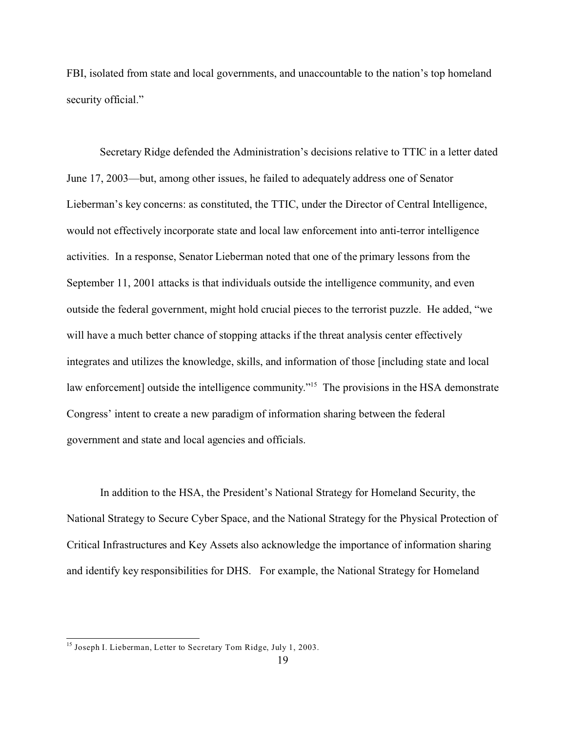FBI, isolated from state and local governments, and unaccountable to the nation's top homeland security official."

Secretary Ridge defended the Administration's decisions relative to TTIC in a letter dated June 17, 2003—but, among other issues, he failed to adequately address one of Senator Lieberman's key concerns: as constituted, the TTIC, under the Director of Central Intelligence, would not effectively incorporate state and local law enforcement into anti-terror intelligence activities. In a response, Senator Lieberman noted that one of the primary lessons from the September 11, 2001 attacks is that individuals outside the intelligence community, and even outside the federal government, might hold crucial pieces to the terrorist puzzle. He added, "we will have a much better chance of stopping attacks if the threat analysis center effectively integrates and utilizes the knowledge, skills, and information of those [including state and local law enforcement] outside the intelligence community."<sup>15</sup> The provisions in the HSA demonstrate Congress' intent to create a new paradigm of information sharing between the federal government and state and local agencies and officials.

In addition to the HSA, the President's National Strategy for Homeland Security, the National Strategy to Secure Cyber Space, and the National Strategy for the Physical Protection of Critical Infrastructures and Key Assets also acknowledge the importance of information sharing and identify key responsibilities for DHS. For example, the National Strategy for Homeland

<sup>&</sup>lt;sup>15</sup> Joseph I. Lieberman, Letter to Secretary Tom Ridge, July 1, 2003.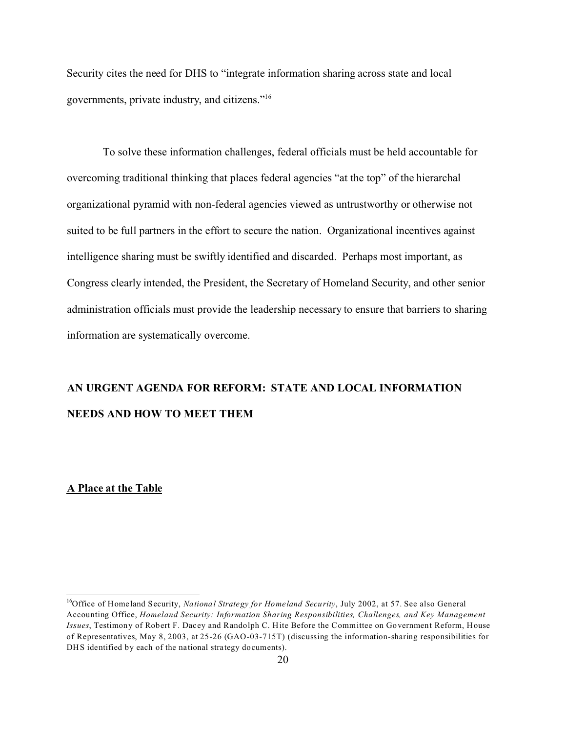Security cites the need for DHS to "integrate information sharing across state and local governments, private industry, and citizens."<sup>16</sup>

To solve these information challenges, federal officials must be held accountable for overcoming traditional thinking that places federal agencies "at the top" of the hierarchal organizational pyramid with non-federal agencies viewed as untrustworthy or otherwise not suited to be full partners in the effort to secure the nation. Organizational incentives against intelligence sharing must be swiftly identified and discarded. Perhaps most important, as Congress clearly intended, the President, the Secretary of Homeland Security, and other senior administration officials must provide the leadership necessary to ensure that barriers to sharing information are systematically overcome.

# **AN URGENT AGENDA FOR REFORM: STATE AND LOCAL INFORMATION NEEDS AND HOW TO MEET THEM**

#### **A Place at the Table**

<sup>&</sup>lt;sup>16</sup>Office of Homeland Security, *National Strategy for Homeland Security*, July 2002, at 57. See also General Accounting Office, *Homeland Security: Information Sharing Responsibilities, Challenges, and Key Management Issues*, Testimony of Robert F. Dacey and Randolph C. Hite Before the Committee on Government Reform, House of Representatives, May 8, 2003, at 25-26 (GAO-03-715T) (discussing the information-sharing responsibilities for DHS identified by each of the national strategy documents).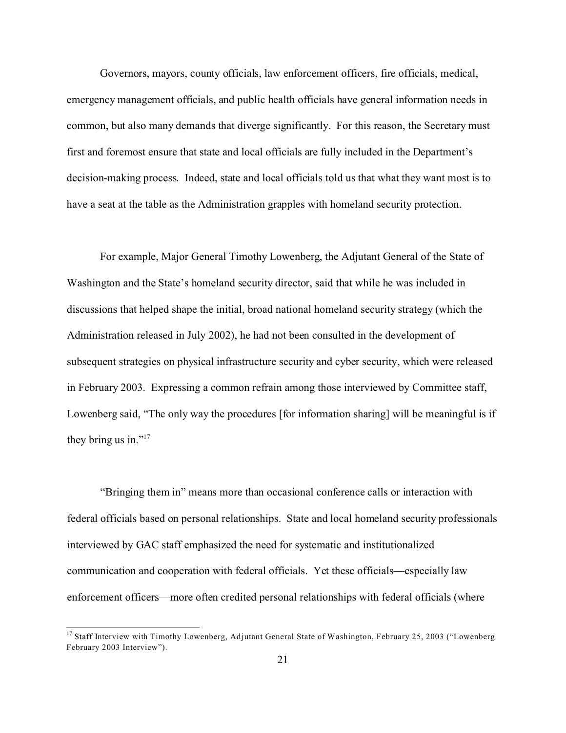Governors, mayors, county officials, law enforcement officers, fire officials, medical, emergency management officials, and public health officials have general information needs in common, but also many demands that diverge significantly. For this reason, the Secretary must first and foremost ensure that state and local officials are fully included in the Department's decision-making process. Indeed, state and local officials told us that what they want most is to have a seat at the table as the Administration grapples with homeland security protection.

For example, Major General Timothy Lowenberg, the Adjutant General of the State of Washington and the State's homeland security director, said that while he was included in discussions that helped shape the initial, broad national homeland security strategy (which the Administration released in July 2002), he had not been consulted in the development of subsequent strategies on physical infrastructure security and cyber security, which were released in February 2003. Expressing a common refrain among those interviewed by Committee staff, Lowenberg said, "The only way the procedures [for information sharing] will be meaningful is if they bring us in." $17$ 

"Bringing them in" means more than occasional conference calls or interaction with federal officials based on personal relationships.State and local homeland security professionals interviewed by GAC staff emphasized the need for systematic and institutionalized communication and cooperation with federal officials. Yet these officials—especially law enforcement officers—more often credited personal relationships with federal officials (where

<sup>&</sup>lt;sup>17</sup> Staff Interview with Timothy Lowenberg, Adjutant General State of Washington, February 25, 2003 ("Lowenberg February 2003 Interview").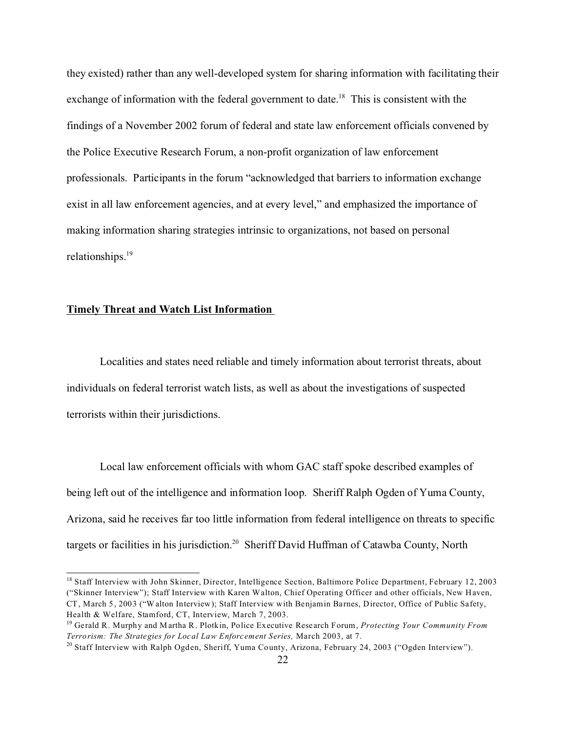they existed) rather than any well-developed system for sharing information with facilitating their exchange of information with the federal government to date.<sup>18</sup> This is consistent with the findings of a November 2002 forum of federal and state law enforcement officials convened by the Police Executive Research Forum, a non-profit organization of law enforcement professionals. Participants in the forum "acknowledged that barriers to information exchange exist in all law enforcement agencies, and at every level," and emphasized the importance of making information sharing strategies intrinsic to organizations, not based on personal relationships.<sup>19</sup>

#### **Timely Threat and Watch List Information**

Localities and states need reliable and timely information about terrorist threats, about individuals on federal terrorist watch lists, as well as about the investigations of suspected terrorists within their jurisdictions.

Local law enforcement officials with whom GAC staff spoke described examples of being left out of the intelligence and information loop. Sheriff Ralph Ogden of Yuma County, Arizona, said he receives far too little information from federal intelligence on threats to specific targets or facilities in his jurisdiction.<sup>20</sup> Sheriff David Huffman of Catawba County, North

<sup>&</sup>lt;sup>18</sup> Staff Interview with John Skinner, Director, Intelligence Section, Baltimore Police Department, February 12, 2003 ("Skinner Interview"); Staff Interview with Karen Walton, Chief Operating Officer and other officials, New Haven, CT, March 5, 2003 ("Walton Interview); Staff Interview with Benjamin Barnes, Director, Office of Public Safety, Health & Welfare, Stamford, CT, Interview, March 7, 2003.

<sup>19</sup> Gerald R. Murphy and Martha R. Plotkin, Police Executive Research Forum, *Protecting Your Community From Terrorism: The Strategies for Local Law Enforcement Series,* March 2003, at 7.

<sup>&</sup>lt;sup>20</sup> Staff Interview with Ralph Ogden, Sheriff, Yuma County, Arizona, February 24, 2003 ("Ogden Interview").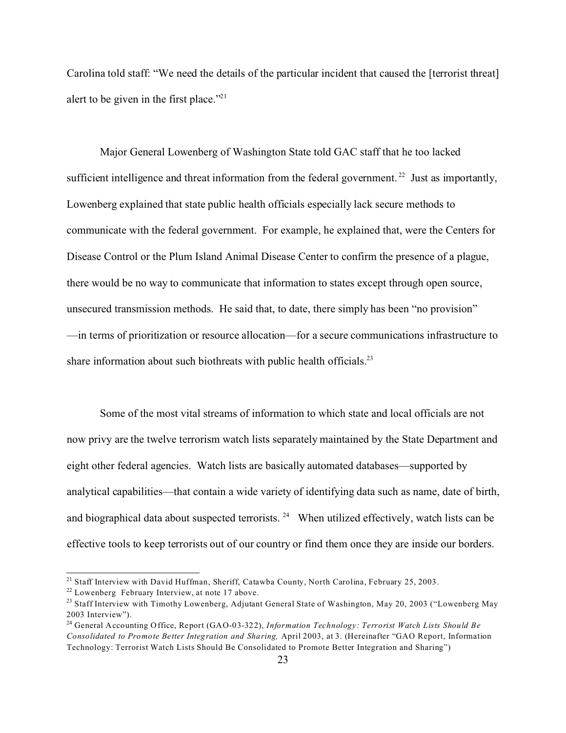Carolina told staff: "We need the details of the particular incident that caused the [terrorist threat] alert to be given in the first place."<sup>21</sup>

Major General Lowenberg of Washington State told GAC staff that he too lacked sufficient intelligence and threat information from the federal government.<sup>22</sup> Just as importantly, Lowenberg explained that state public health officials especially lack secure methods to communicate with the federal government. For example, he explained that, were the Centers for Disease Control or the Plum Island Animal Disease Center to confirm the presence of a plague, there would be no way to communicate that information to states except through open source, unsecured transmission methods. He said that, to date, there simply has been "no provision" —in terms of prioritization or resource allocation—for a secure communications infrastructure to share information about such biothreats with public health officials.<sup>23</sup>

Some of the most vital streams of information to which state and local officials are not now privy are the twelve terrorism watch lists separately maintained by the State Department and eight other federal agencies. Watch lists are basically automated databases—supported by analytical capabilities—that contain a wide variety of identifying data such as name, date of birth, and biographical data about suspected terrorists.  $24$  When utilized effectively, watch lists can be effective tools to keep terrorists out of our country or find them once they are inside our borders.

<sup>&</sup>lt;sup>21</sup> Staff Interview with David Huffman, Sheriff, Catawba County, North Carolina, February 25, 2003.

 $22$  Lowenberg February Interview, at note 17 above.

<sup>&</sup>lt;sup>23</sup> Staff Interview with Timothy Lowenberg, Adjutant General State of Washington, May 20, 2003 ("Lowenberg May 2003 Interview").

<sup>24</sup> General Accounting Office, Report (GAO-03-322), *Information Technology: Terrorist Watch Lists Should Be Consolidated to Promote Better Integration and Sharing,* April 2003, at 3. (Hereinafter "GAO Report, Information Technology: Terrorist Watch Lists Should Be Consolidated to Promote Better Integration and Sharing")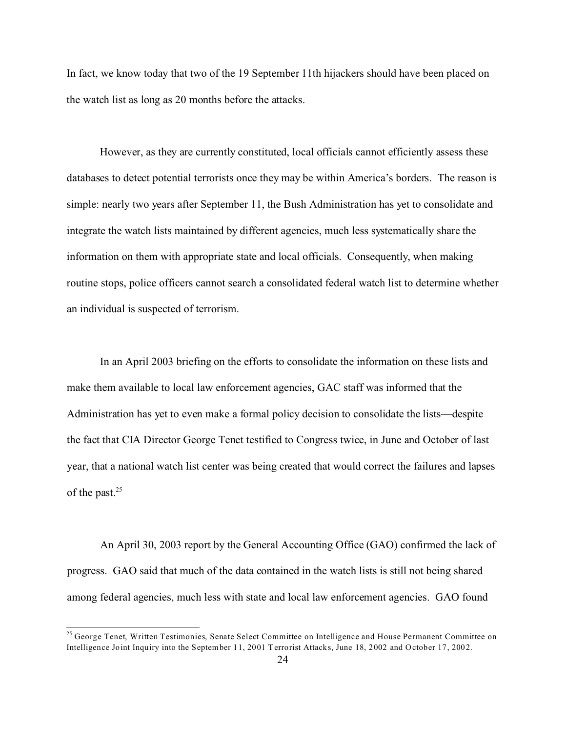In fact, we know today that two of the 19 September 11th hijackers should have been placed on the watch list as long as 20 months before the attacks.

However, as they are currently constituted, local officials cannot efficiently assess these databases to detect potential terrorists once they may be within America's borders. The reason is simple: nearly two years after September 11, the Bush Administration has yet to consolidate and integrate the watch lists maintained by different agencies, much less systematically share the information on them with appropriate state and local officials. Consequently, when making routine stops, police officers cannot search a consolidated federal watch list to determine whether an individual is suspected of terrorism.

In an April 2003 briefing on the efforts to consolidate the information on these lists and make them available to local law enforcement agencies, GAC staff was informed that the Administration has yet to even make a formal policy decision to consolidate the lists—despite the fact that CIA Director George Tenet testified to Congress twice, in June and October of last year, that a national watch list center was being created that would correct the failures and lapses of the past.<sup>25</sup>

An April 30, 2003 report by the General Accounting Office (GAO) confirmed the lack of progress. GAO said that much of the data contained in the watch lists is still not being shared among federal agencies, much less with state and local law enforcement agencies. GAO found

<sup>&</sup>lt;sup>25</sup> George Tenet, Written Testimonies, Senate Select Committee on Intelligence and House Permanent Committee on Intelligence Joint Inquiry into the September 11, 2001 Terrorist Attacks, June 18, 2002 and October 17, 2002.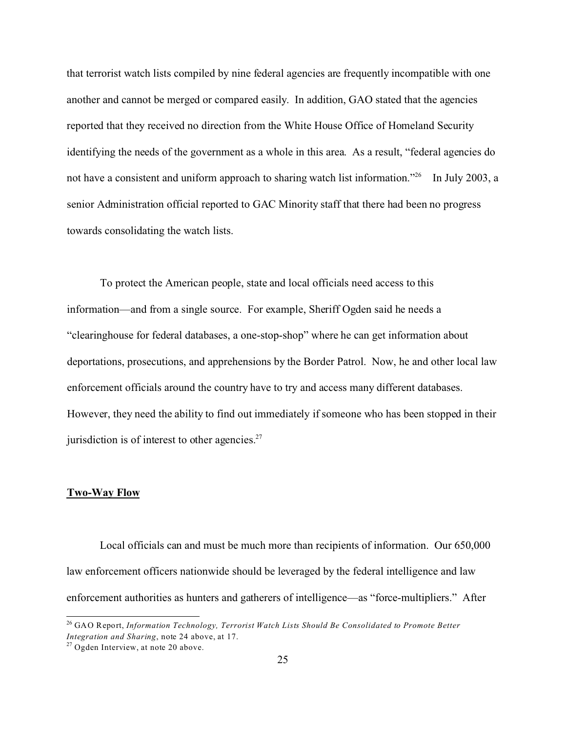that terrorist watch lists compiled by nine federal agencies are frequently incompatible with one another and cannot be merged or compared easily. In addition, GAO stated that the agencies reported that they received no direction from the White House Office of Homeland Security identifying the needs of the government as a whole in this area. As a result, "federal agencies do not have a consistent and uniform approach to sharing watch list information."<sup>26</sup> In July 2003, a senior Administration official reported to GAC Minority staff that there had been no progress towards consolidating the watch lists.

To protect the American people, state and local officials need access to this information—and from a single source. For example, Sheriff Ogden said he needs a "clearinghouse for federal databases, a one-stop-shop" where he can get information about deportations, prosecutions, and apprehensions by the Border Patrol. Now, he and other local law enforcement officials around the country have to try and access many different databases. However, they need the ability to find out immediately if someone who has been stopped in their jurisdiction is of interest to other agencies. $27$ 

#### **Two-Way Flow**

Local officials can and must be much more than recipients of information. Our 650,000 law enforcement officers nationwide should be leveraged by the federal intelligence and law enforcement authorities as hunters and gatherers of intelligence—as "force-multipliers." After

<sup>26</sup> GAO Report, *Information Technology, Terrorist Watch Lists Should Be Consolidated to Promote Better Integration and Sharing*, note 24 above, at 17.

<sup>&</sup>lt;sup>27</sup> Ogden Interview, at note 20 above.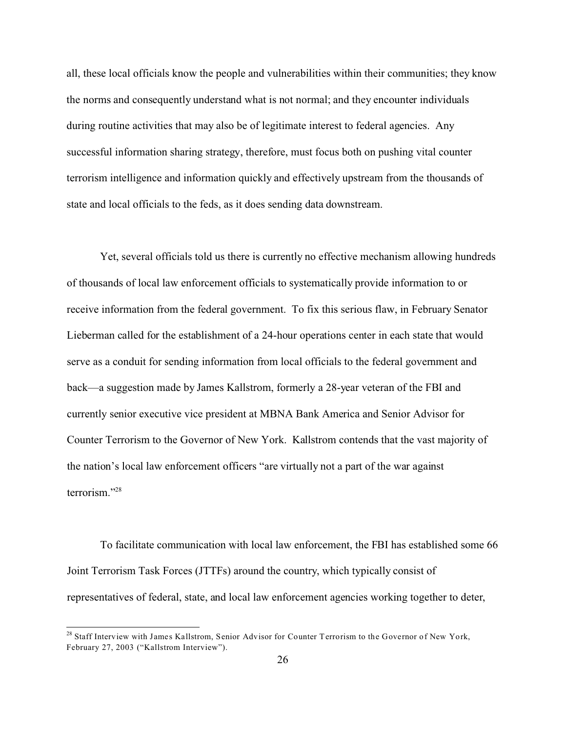all, these local officials know the people and vulnerabilities within their communities; they know the norms and consequently understand what is not normal; and they encounter individuals during routine activities that may also be of legitimate interest to federal agencies. Any successful information sharing strategy, therefore, must focus both on pushing vital counter terrorism intelligence and information quickly and effectively upstream from the thousands of state and local officials to the feds, as it does sending data downstream.

Yet, several officials told us there is currently no effective mechanism allowing hundreds of thousands of local law enforcement officials to systematically provide information to or receive information from the federal government. To fix this serious flaw, in February Senator Lieberman called for the establishment of a 24-hour operations center in each state that would serve as a conduit for sending information from local officials to the federal government and back—a suggestion made by James Kallstrom, formerly a 28-year veteran of the FBI and currently senior executive vice president at MBNA Bank America and Senior Advisor for Counter Terrorism to the Governor of New York. Kallstrom contends that the vast majority of the nation's local law enforcement officers "are virtually not a part of the war against terrorism."<sup>28</sup>

To facilitate communication with local law enforcement, the FBI has established some 66 Joint Terrorism Task Forces (JTTFs) around the country, which typically consist of representatives of federal, state, and local law enforcement agencies working together to deter,

<sup>&</sup>lt;sup>28</sup> Staff Interview with James Kallstrom, Senior Advisor for Counter Terrorism to the Governor of New York, February 27, 2003 ("Kallstrom Interview").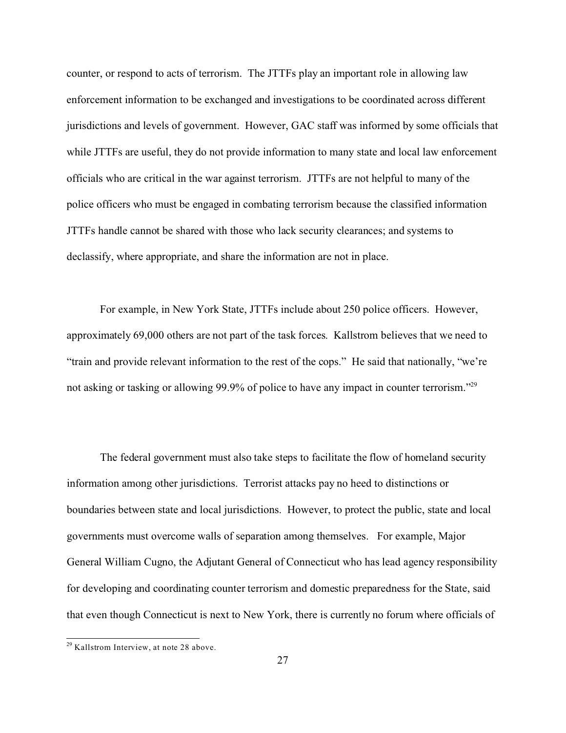counter, or respond to acts of terrorism. The JTTFs play an important role in allowing law enforcement information to be exchanged and investigations to be coordinated across different jurisdictions and levels of government. However, GAC staff was informed by some officials that while JTTFs are useful, they do not provide information to many state and local law enforcement officials who are critical in the war against terrorism. JTTFs are not helpful to many of the police officers who must be engaged in combating terrorism because the classified information JTTFs handle cannot be shared with those who lack security clearances; and systems to declassify, where appropriate, and share the information are not in place.

For example, in New York State, JTTFs include about 250 police officers. However, approximately 69,000 others are not part of the task forces. Kallstrom believes that we need to "train and provide relevant information to the rest of the cops." He said that nationally, "we're not asking or tasking or allowing 99.9% of police to have any impact in counter terrorism."<sup>29</sup>

The federal government must also take steps to facilitate the flow of homeland security information among other jurisdictions. Terrorist attacks pay no heed to distinctions or boundaries between state and local jurisdictions. However, to protect the public, state and local governments must overcome walls of separation among themselves. For example, Major General William Cugno, the Adjutant General of Connecticut who has lead agency responsibility for developing and coordinating counter terrorism and domestic preparedness for the State, said that even though Connecticut is next to New York, there is currently no forum where officials of

<sup>29</sup> Kallstrom Interview, at note 28 above.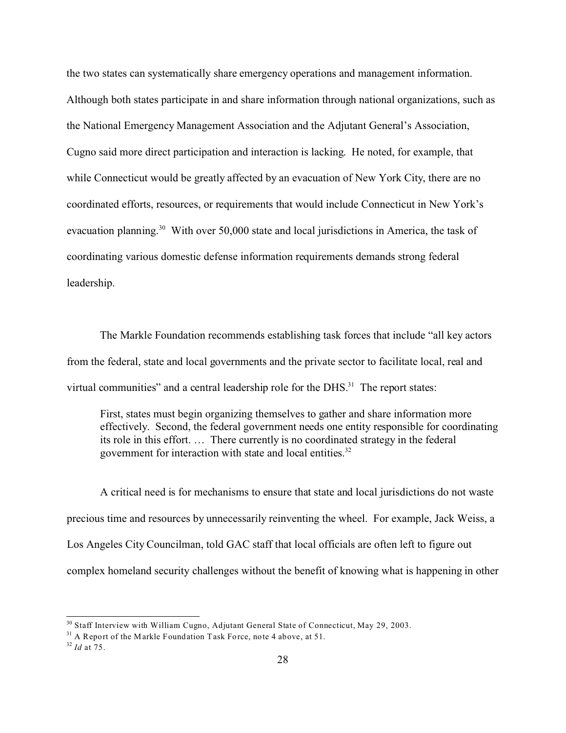the two states can systematically share emergency operations and management information. Although both states participate in and share information through national organizations, such as the National Emergency Management Association and the Adjutant General's Association, Cugno said more direct participation and interaction is lacking. He noted, for example, that while Connecticut would be greatly affected by an evacuation of New York City, there are no coordinated efforts, resources, or requirements that would include Connecticut in New York's evacuation planning.<sup>30</sup> With over 50,000 state and local jurisdictions in America, the task of coordinating various domestic defense information requirements demands strong federal leadership.

The Markle Foundation recommends establishing task forces that include "all key actors from the federal, state and local governments and the private sector to facilitate local, real and virtual communities" and a central leadership role for the DHS.<sup>31</sup> The report states:

First, states must begin organizing themselves to gather and share information more effectively. Second, the federal government needs one entity responsible for coordinating its role in this effort. … There currently is no coordinated strategy in the federal government for interaction with state and local entities.<sup>32</sup>

A critical need is for mechanisms to ensure that state and local jurisdictions do not waste precious time and resources by unnecessarily reinventing the wheel. For example, Jack Weiss, a Los Angeles City Councilman, told GAC staff that local officials are often left to figure out complex homeland security challenges without the benefit of knowing what is happening in other

 $30$  Staff Interview with William Cugno, Adjutant General State of Connecticut, May 29, 2003.

 $31$  A Report of the Markle Foundation Task Force, note 4 above, at 51.

<sup>32</sup> *Id* at 75.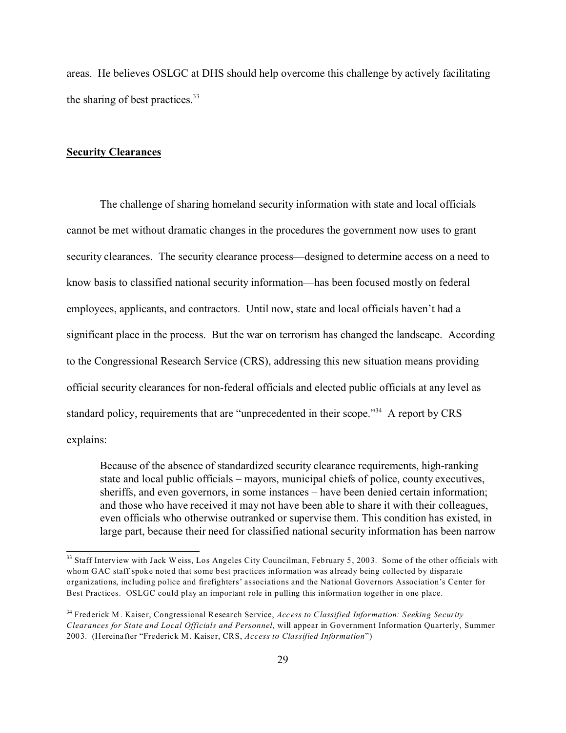areas. He believes OSLGC at DHS should help overcome this challenge by actively facilitating the sharing of best practices.<sup>33</sup>

#### **Security Clearances**

The challenge of sharing homeland security information with state and local officials cannot be met without dramatic changes in the procedures the government now uses to grant security clearances. The security clearance process—designed to determine access on a need to know basis to classified national security information—has been focused mostly on federal employees, applicants, and contractors. Until now, state and local officials haven't had a significant place in the process. But the war on terrorism has changed the landscape. According to the Congressional Research Service (CRS), addressing this new situation means providing official security clearances for non-federal officials and elected public officials at any level as standard policy, requirements that are "unprecedented in their scope."<sup>34</sup> A report by CRS explains:

Because of the absence of standardized security clearance requirements, high-ranking state and local public officials – mayors, municipal chiefs of police, county executives, sheriffs, and even governors, in some instances – have been denied certain information; and those who have received it may not have been able to share it with their colleagues, even officials who otherwise outranked or supervise them. This condition has existed, in large part, because their need for classified national security information has been narrow

<sup>&</sup>lt;sup>33</sup> Staff Interview with Jack Weiss, Los Angeles City Councilman, February 5, 2003. Some of the other officials with whom GAC staff spoke noted that some best practices information was already being collected by disparate organizations, including police and firefighters' associations and the National Governors Association's Center for Best Practices. OSLGC could play an important role in pulling this information together in one place.

<sup>34</sup> Frederick M. Kaiser, Congressional Research Service, *Access to Classified Information: Seeking Security Clearances for State and Local Officials and Personnel*, will appear in Government Information Quarterly, Summer 2003. (Hereinafter "Frederick M. Kaiser, CRS, *Access to Classified Information*")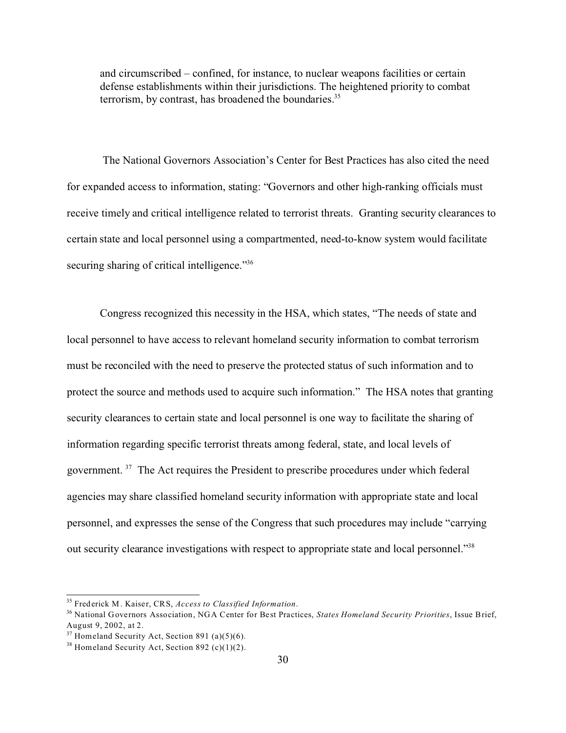and circumscribed – confined, for instance, to nuclear weapons facilities or certain defense establishments within their jurisdictions. The heightened priority to combat terrorism, by contrast, has broadened the boundaries. $35$ 

 The National Governors Association's Center for Best Practices has also cited the need for expanded access to information, stating: "Governors and other high-ranking officials must receive timely and critical intelligence related to terrorist threats. Granting security clearances to certain state and local personnel using a compartmented, need-to-know system would facilitate securing sharing of critical intelligence."<sup>36</sup>

Congress recognized this necessity in the HSA, which states, "The needs of state and local personnel to have access to relevant homeland security information to combat terrorism must be reconciled with the need to preserve the protected status of such information and to protect the source and methods used to acquire such information." The HSA notes that granting security clearances to certain state and local personnel is one way to facilitate the sharing of information regarding specific terrorist threats among federal, state, and local levels of government. <sup>37</sup> The Act requires the President to prescribe procedures under which federal agencies may share classified homeland security information with appropriate state and local personnel, and expresses the sense of the Congress that such procedures may include "carrying out security clearance investigations with respect to appropriate state and local personnel."<sup>38</sup>

<sup>35</sup> Frederick M. Kaiser, CRS, *Access to Classified Information*.

<sup>36</sup> National Governors Association, NGA Center for Best Practices, *States Homeland Security Priorities*, Issue Brief, August 9, 2002, at 2.

 $37$  Homeland Security Act, Section 891 (a)(5)(6).

 $38$  Homeland Security Act, Section 892 (c)(1)(2).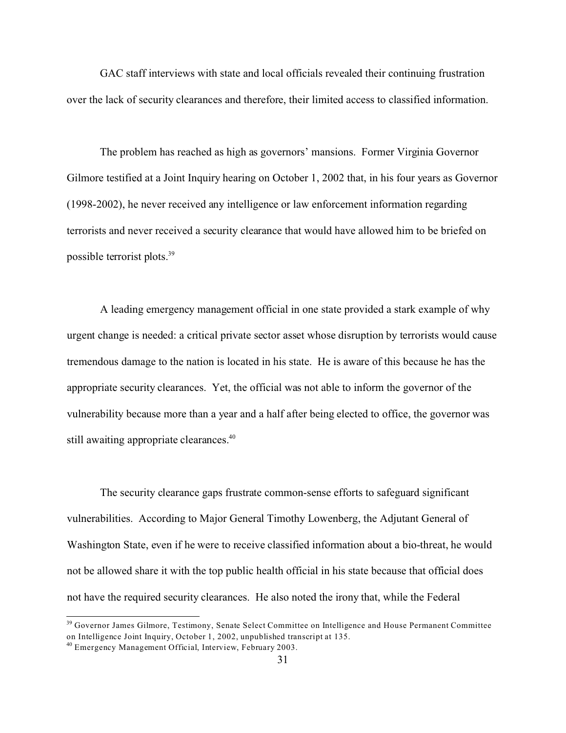GAC staff interviews with state and local officials revealed their continuing frustration over the lack of security clearances and therefore, their limited access to classified information.

The problem has reached as high as governors' mansions. Former Virginia Governor Gilmore testified at a Joint Inquiry hearing on October 1, 2002 that, in his four years as Governor (1998-2002), he never received any intelligence or law enforcement information regarding terrorists and never received a security clearance that would have allowed him to be briefed on possible terrorist plots.<sup>39</sup>

A leading emergency management official in one state provided a stark example of why urgent change is needed: a critical private sector asset whose disruption by terrorists would cause tremendous damage to the nation is located in his state. He is aware of this because he has the appropriate security clearances. Yet, the official was not able to inform the governor of the vulnerability because more than a year and a half after being elected to office, the governor was still awaiting appropriate clearances.<sup>40</sup>

The security clearance gaps frustrate common-sense efforts to safeguard significant vulnerabilities. According to Major General Timothy Lowenberg, the Adjutant General of Washington State, even if he were to receive classified information about a bio-threat, he would not be allowed share it with the top public health official in his state because that official does not have the required security clearances. He also noted the irony that, while the Federal

<sup>39</sup> Governor James Gilmore, Testimony, Senate Select Committee on Intelligence and House Permanent Committee on Intelligence Joint Inquiry, October 1, 2002, unpublished transcript at 135.

<sup>40</sup> Emergency Management Official, Interview, February 2003.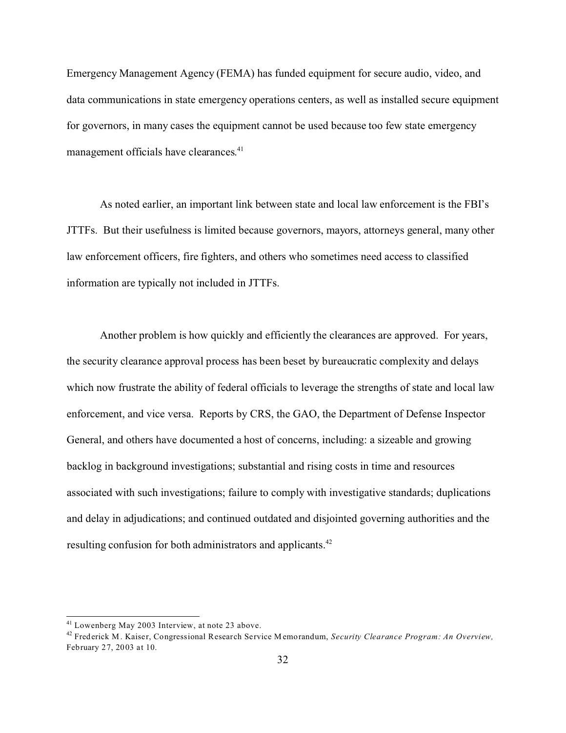Emergency Management Agency (FEMA) has funded equipment for secure audio, video, and data communications in state emergency operations centers, as well as installed secure equipment for governors, in many cases the equipment cannot be used because too few state emergency management officials have clearances.<sup>41</sup>

As noted earlier, an important link between state and local law enforcement is the FBI's JTTFs. But their usefulness is limited because governors, mayors, attorneys general, many other law enforcement officers, fire fighters, and others who sometimes need access to classified information are typically not included in JTTFs.

Another problem is how quickly and efficiently the clearances are approved. For years, the security clearance approval process has been beset by bureaucratic complexity and delays which now frustrate the ability of federal officials to leverage the strengths of state and local law enforcement, and vice versa. Reports by CRS, the GAO, the Department of Defense Inspector General, and others have documented a host of concerns, including: a sizeable and growing backlog in background investigations; substantial and rising costs in time and resources associated with such investigations; failure to comply with investigative standards; duplications and delay in adjudications; and continued outdated and disjointed governing authorities and the resulting confusion for both administrators and applicants.<sup>42</sup>

<sup>41</sup> Lowenberg May 2003 Interview, at note 23 above.

<sup>42</sup> Frederick M. Kaiser, Congressional Research Service Memorandum, *Security Clearance Program: An Overview,* February 27, 2003 at 10.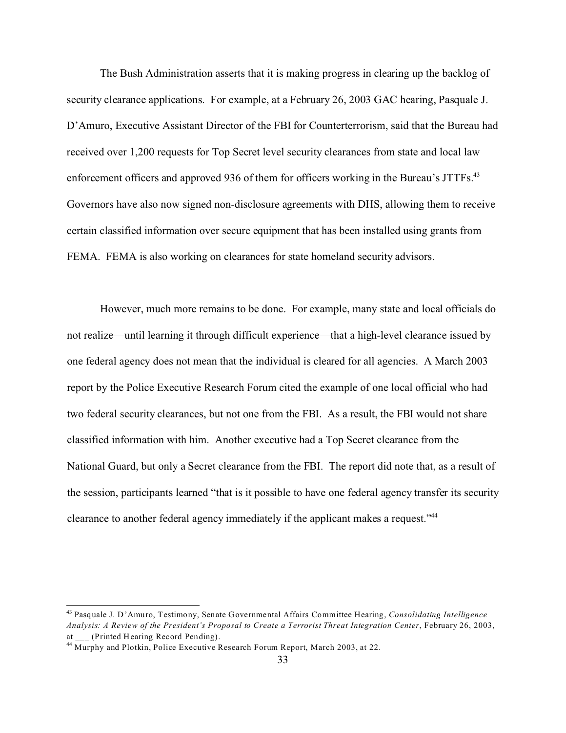The Bush Administration asserts that it is making progress in clearing up the backlog of security clearance applications. For example, at a February 26, 2003 GAC hearing, Pasquale J. D'Amuro, Executive Assistant Director of the FBI for Counterterrorism, said that the Bureau had received over 1,200 requests for Top Secret level security clearances from state and local law enforcement officers and approved 936 of them for officers working in the Bureau's JTTFs.<sup>43</sup> Governors have also now signed non-disclosure agreements with DHS, allowing them to receive certain classified information over secure equipment that has been installed using grants from FEMA. FEMA is also working on clearances for state homeland security advisors.

However, much more remains to be done. For example, many state and local officials do not realize—until learning it through difficult experience—that a high-level clearance issued by one federal agency does not mean that the individual is cleared for all agencies. A March 2003 report by the Police Executive Research Forum cited the example of one local official who had two federal security clearances, but not one from the FBI. As a result, the FBI would not share classified information with him. Another executive had a Top Secret clearance from the National Guard, but only a Secret clearance from the FBI. The report did note that, as a result of the session, participants learned "that is it possible to have one federal agency transfer its security clearance to another federal agency immediately if the applicant makes a request."44

<sup>43</sup> Pasquale J. D'Amuro, Testimony, Senate Governmental Affairs Committee Hearing, *Consolidating Intelligence Analysis: A Review of the President's Proposal to Create a Terrorist Threat Integration Center*, February 26, 2003, at (Printed Hearing Record Pending).

<sup>&</sup>lt;sup>44</sup> Murphy and Plotkin, Police Executive Research Forum Report, March 2003, at 22.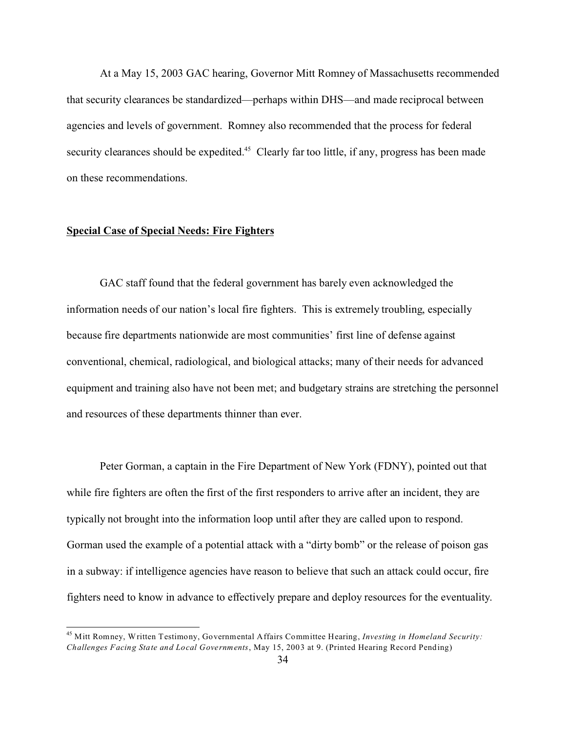At a May 15, 2003 GAC hearing, Governor Mitt Romney of Massachusetts recommended that security clearances be standardized—perhaps within DHS—and made reciprocal between agencies and levels of government. Romney also recommended that the process for federal security clearances should be expedited.<sup>45</sup> Clearly far too little, if any, progress has been made on these recommendations.

### **Special Case of Special Needs: Fire Fighters**

GAC staff found that the federal government has barely even acknowledged the information needs of our nation's local fire fighters. This is extremely troubling, especially because fire departments nationwide are most communities' first line of defense against conventional, chemical, radiological, and biological attacks; many of their needs for advanced equipment and training also have not been met; and budgetary strains are stretching the personnel and resources of these departments thinner than ever.

Peter Gorman, a captain in the Fire Department of New York (FDNY), pointed out that while fire fighters are often the first of the first responders to arrive after an incident, they are typically not brought into the information loop until after they are called upon to respond. Gorman used the example of a potential attack with a "dirty bomb" or the release of poison gas in a subway: if intelligence agencies have reason to believe that such an attack could occur, fire fighters need to know in advance to effectively prepare and deploy resources for the eventuality.

<sup>45</sup> Mitt Romney, Written Testimony, Governmental Affairs Committee Hearing, *Investing in Homeland Security: Challenges Facing State and Local Governments*, May 15, 2003 at 9. (Printed Hearing Record Pending)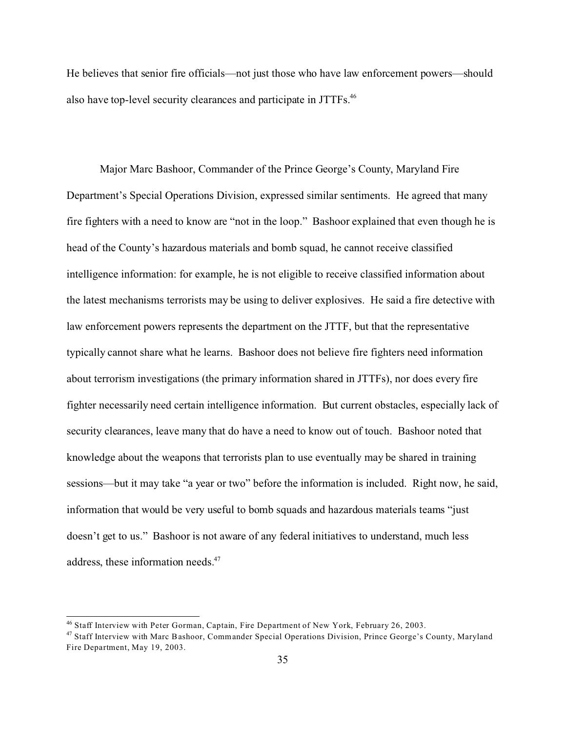He believes that senior fire officials—not just those who have law enforcement powers—should also have top-level security clearances and participate in JTTFs.<sup>46</sup>

Major Marc Bashoor, Commander of the Prince George's County, Maryland Fire Department's Special Operations Division, expressed similar sentiments. He agreed that many fire fighters with a need to know are "not in the loop." Bashoor explained that even though he is head of the County's hazardous materials and bomb squad, he cannot receive classified intelligence information: for example, he is not eligible to receive classified information about the latest mechanisms terrorists may be using to deliver explosives. He said a fire detective with law enforcement powers represents the department on the JTTF, but that the representative typically cannot share what he learns. Bashoor does not believe fire fighters need information about terrorism investigations (the primary information shared in JTTFs), nor does every fire fighter necessarily need certain intelligence information. But current obstacles, especially lack of security clearances, leave many that do have a need to know out of touch. Bashoor noted that knowledge about the weapons that terrorists plan to use eventually may be shared in training sessions—but it may take "a year or two" before the information is included. Right now, he said, information that would be very useful to bomb squads and hazardous materials teams "just doesn't get to us." Bashoor is not aware of any federal initiatives to understand, much less address, these information needs.<sup>47</sup>

<sup>46</sup> Staff Interview with Peter Gorman, Captain, Fire Department of New York, February 26, 2003.

<sup>&</sup>lt;sup>47</sup> Staff Interview with Marc Bashoor, Commander Special Operations Division, Prince George's County, Maryland Fire Department, May 19, 2003.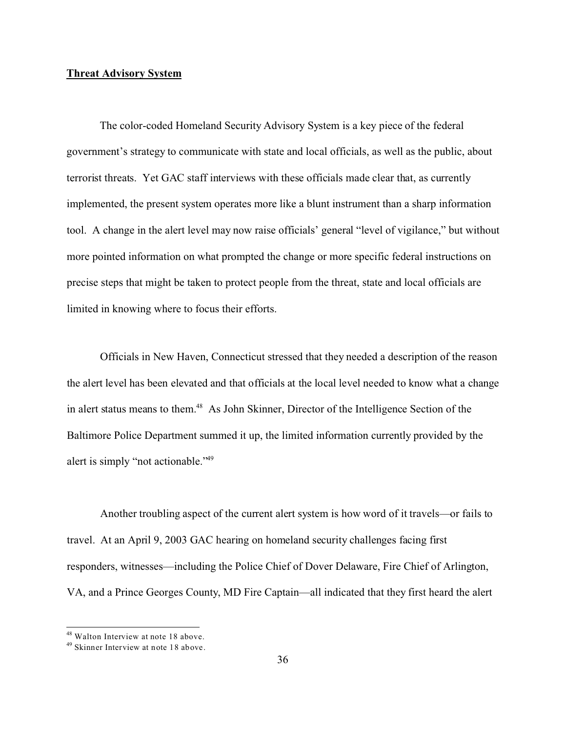#### **Threat Advisory System**

The color-coded Homeland Security Advisory System is a key piece of the federal government's strategy to communicate with state and local officials, as well as the public, about terrorist threats. Yet GAC staff interviews with these officials made clear that, as currently implemented, the present system operates more like a blunt instrument than a sharp information tool. A change in the alert level may now raise officials' general "level of vigilance," but without more pointed information on what prompted the change or more specific federal instructions on precise steps that might be taken to protect people from the threat, state and local officials are limited in knowing where to focus their efforts.

Officials in New Haven, Connecticut stressed that they needed a description of the reason the alert level has been elevated and that officials at the local level needed to know what a change in alert status means to them.<sup>48</sup> As John Skinner, Director of the Intelligence Section of the Baltimore Police Department summed it up, the limited information currently provided by the alert is simply "not actionable."<sup>49</sup>

Another troubling aspect of the current alert system is how word of it travels—or fails to travel. At an April 9, 2003 GAC hearing on homeland security challenges facing first responders, witnesses—including the Police Chief of Dover Delaware, Fire Chief of Arlington, VA, and a Prince Georges County, MD Fire Captain—all indicated that they first heard the alert

<sup>48</sup> Walton Interview at note 18 above.

<sup>49</sup> Skinner Interview at note 18 above.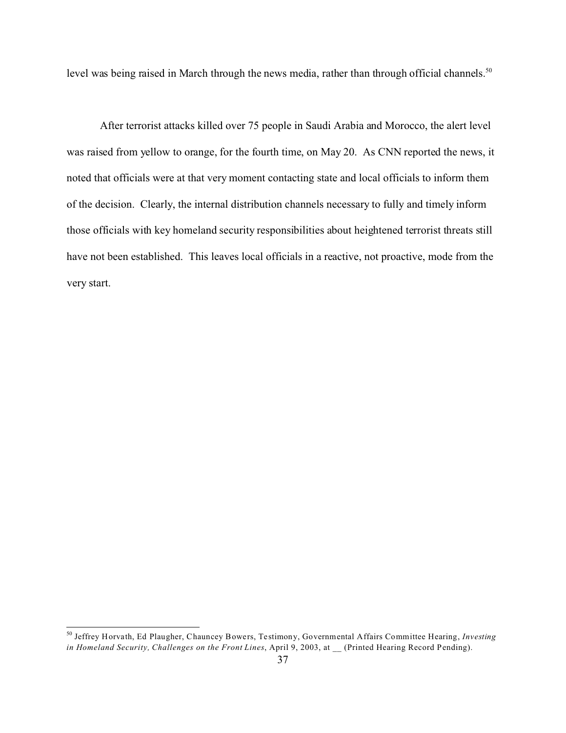level was being raised in March through the news media, rather than through official channels.<sup>50</sup>

After terrorist attacks killed over 75 people in Saudi Arabia and Morocco, the alert level was raised from yellow to orange, for the fourth time, on May 20. As CNN reported the news, it noted that officials were at that very moment contacting state and local officials to inform them of the decision. Clearly, the internal distribution channels necessary to fully and timely inform those officials with key homeland security responsibilities about heightened terrorist threats still have not been established. This leaves local officials in a reactive, not proactive, mode from the very start.

<sup>50</sup> Jeffrey Horvath, Ed Plaugher, Chauncey Bowers, Testimony, Governmental Affairs Committee Hearing, *Investing in Homeland Security, Challenges on the Front Lines*, April 9, 2003, at \_\_ (Printed Hearing Record Pending).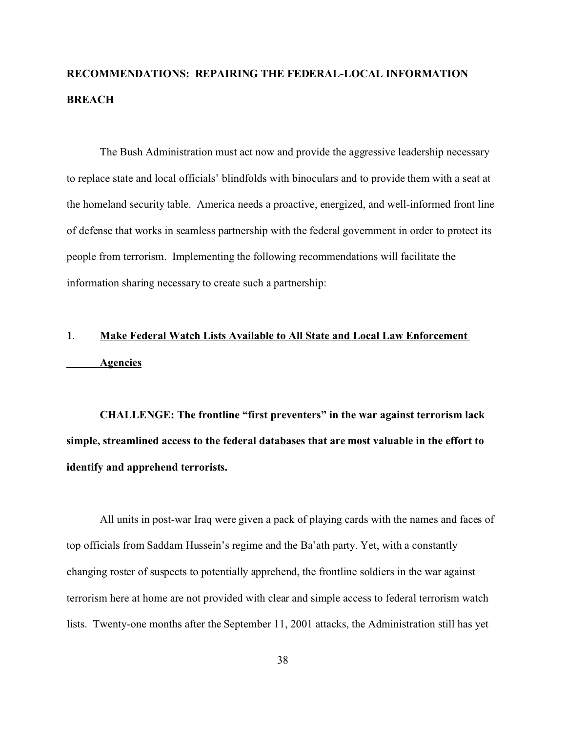# **RECOMMENDATIONS: REPAIRING THE FEDERAL-LOCAL INFORMATION BREACH**

The Bush Administration must act now and provide the aggressive leadership necessary to replace state and local officials' blindfolds with binoculars and to provide them with a seat at the homeland security table. America needs a proactive, energized, and well-informed front line of defense that works in seamless partnership with the federal government in order to protect its people from terrorism. Implementing the following recommendations will facilitate the information sharing necessary to create such a partnership:

# **1**. **Make Federal Watch Lists Available to All State and Local Law Enforcement Agencies**

**CHALLENGE: The frontline "first preventers" in the war against terrorism lack simple, streamlined access to the federal databases that are most valuable in the effort to identify and apprehend terrorists.**

All units in post-war Iraq were given a pack of playing cards with the names and faces of top officials from Saddam Hussein's regime and the Ba'ath party. Yet, with a constantly changing roster of suspects to potentially apprehend, the frontline soldiers in the war against terrorism here at home are not provided with clear and simple access to federal terrorism watch lists. Twenty-one months after the September 11, 2001 attacks, the Administration still has yet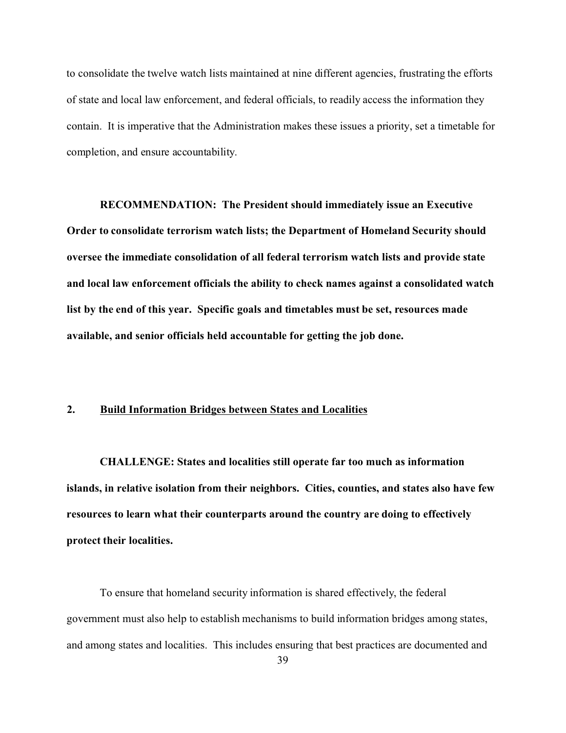to consolidate the twelve watch lists maintained at nine different agencies, frustrating the efforts of state and local law enforcement, and federal officials, to readily access the information they contain. It is imperative that the Administration makes these issues a priority, set a timetable for completion, and ensure accountability.

**RECOMMENDATION: The President should immediately issue an Executive Order to consolidate terrorism watch lists; the Department of Homeland Security should oversee the immediate consolidation of all federal terrorism watch lists and provide state and local law enforcement officials the ability to check names against a consolidated watch list by the end of this year. Specific goals and timetables must be set, resources made available, and senior officials held accountable for getting the job done.**

#### **2. Build Information Bridges between States and Localities**

**CHALLENGE: States and localities still operate far too much as information islands, in relative isolation from their neighbors. Cities, counties, and states also have few resources to learn what their counterparts around the country are doing to effectively protect their localities.**

To ensure that homeland security information is shared effectively, the federal government must also help to establish mechanisms to build information bridges among states, and among states and localities. This includes ensuring that best practices are documented and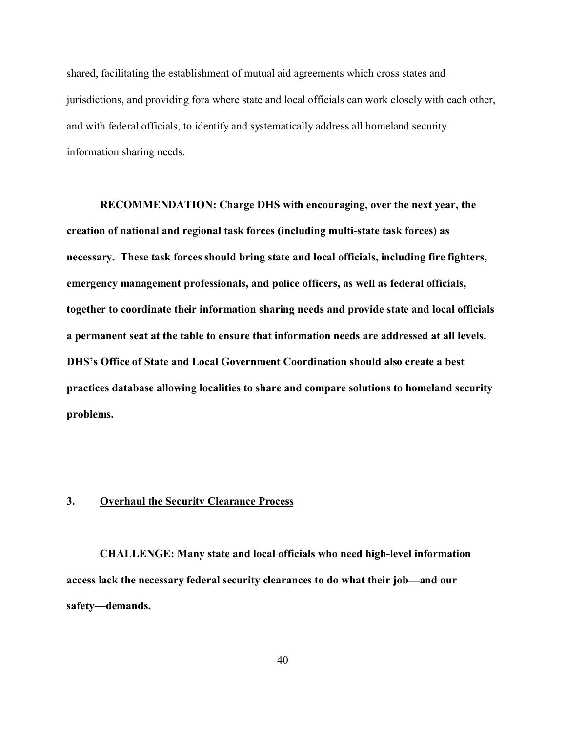shared, facilitating the establishment of mutual aid agreements which cross states and jurisdictions, and providing fora where state and local officials can work closely with each other, and with federal officials, to identify and systematically address all homeland security information sharing needs.

**RECOMMENDATION: Charge DHS with encouraging, over the next year, the creation of national and regional task forces (including multi-state task forces) as necessary. These task forces should bring state and local officials, including fire fighters, emergency management professionals, and police officers, as well as federal officials, together to coordinate their information sharing needs and provide state and local officials a permanent seat at the table to ensure that information needs are addressed at all levels. DHS's Office of State and Local Government Coordination should also create a best practices database allowing localities to share and compare solutions to homeland security problems.**

#### **3. Overhaul the Security Clearance Process**

**CHALLENGE: Many state and local officials who need high-level information access lack the necessary federal security clearances to do what their job—and our safety—demands.**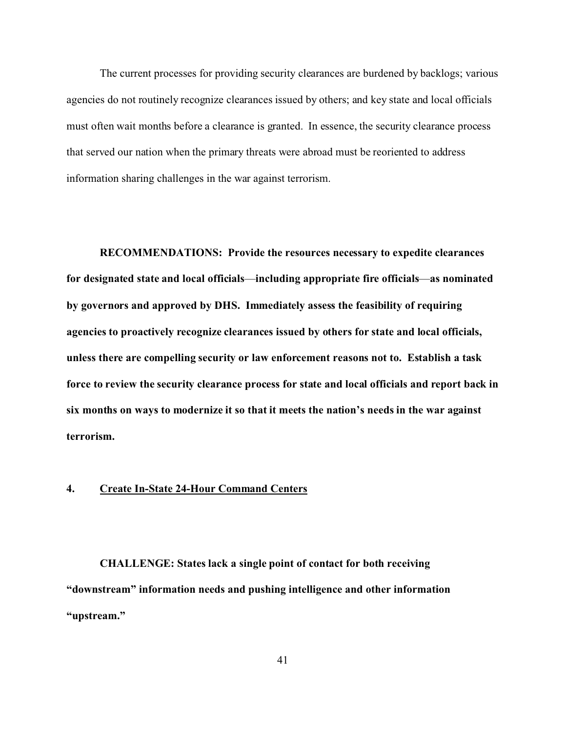The current processes for providing security clearances are burdened by backlogs; various agencies do not routinely recognize clearances issued by others; and key state and local officials must often wait months before a clearance is granted. In essence, the security clearance process that served our nation when the primary threats were abroad must be reoriented to address information sharing challenges in the war against terrorism.

**RECOMMENDATIONS: Provide the resources necessary to expedite clearances for designated state and local officials**—**including appropriate fire officials**—**as nominated by governors and approved by DHS. Immediately assess the feasibility of requiring agencies to proactively recognize clearances issued by others for state and local officials, unless there are compelling security or law enforcement reasons not to. Establish a task force to review the security clearance process for state and local officials and report back in six months on ways to modernize it so that it meets the nation's needs in the war against terrorism.** 

# **4. Create In-State 24-Hour Command Centers**

**CHALLENGE: States lack a single point of contact for both receiving "downstream" information needs and pushing intelligence and other information "upstream."**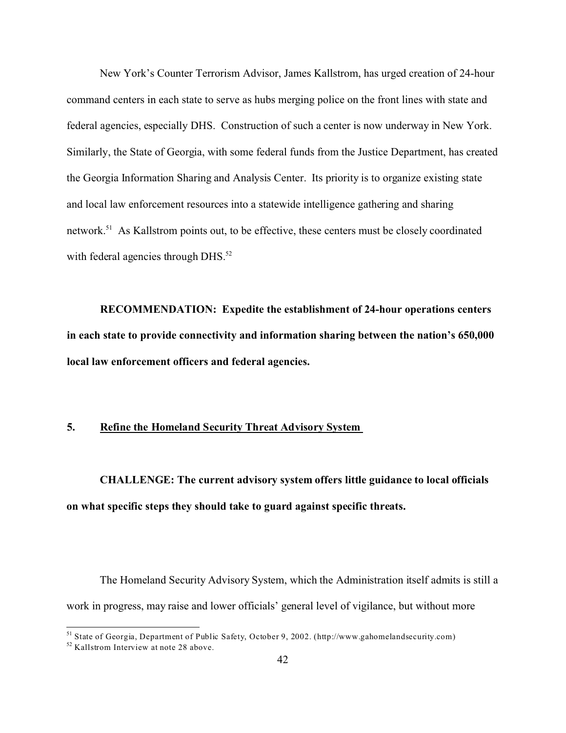New York's Counter Terrorism Advisor, James Kallstrom, has urged creation of 24-hour command centers in each state to serve as hubs merging police on the front lines with state and federal agencies, especially DHS. Construction of such a center is now underway in New York. Similarly, the State of Georgia, with some federal funds from the Justice Department, has created the Georgia Information Sharing and Analysis Center. Its priority is to organize existing state and local law enforcement resources into a statewide intelligence gathering and sharing network.<sup>51</sup> As Kallstrom points out, to be effective, these centers must be closely coordinated with federal agencies through DHS.<sup>52</sup>

**RECOMMENDATION: Expedite the establishment of 24-hour operations centers in each state to provide connectivity and information sharing between the nation's 650,000 local law enforcement officers and federal agencies.** 

# **5. Refine the Homeland Security Threat Advisory System**

**CHALLENGE: The current advisory system offers little guidance to local officials on what specific steps they should take to guard against specific threats.**

The Homeland Security Advisory System, which the Administration itself admits is still a work in progress, may raise and lower officials' general level of vigilance, but without more

<sup>51</sup> State of Georgia, Department of Public Safety, October 9, 2002. (http://www.gahomelandsecurity.com)

 $52$  Kallstrom Interview at note 28 above.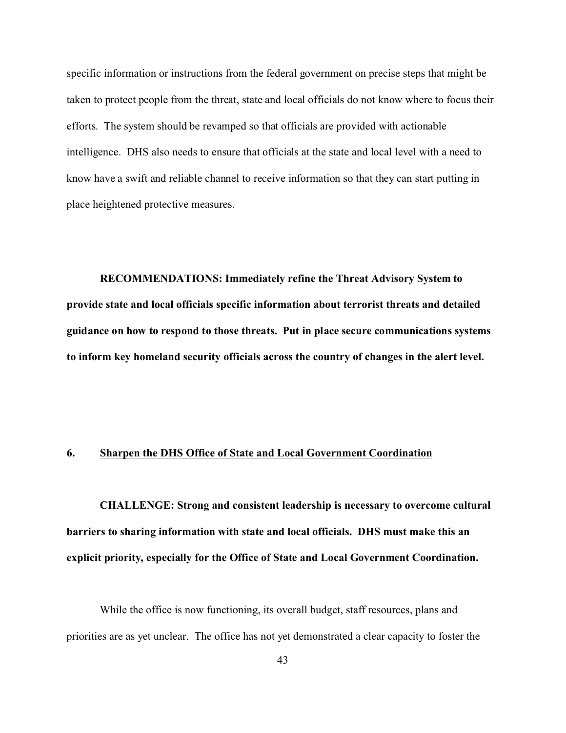specific information or instructions from the federal government on precise steps that might be taken to protect people from the threat, state and local officials do not know where to focus their efforts. The system should be revamped so that officials are provided with actionable intelligence. DHS also needs to ensure that officials at the state and local level with a need to know have a swift and reliable channel to receive information so that they can start putting in place heightened protective measures.

**RECOMMENDATIONS: Immediately refine the Threat Advisory System to provide state and local officials specific information about terrorist threats and detailed guidance on how to respond to those threats. Put in place secure communications systems to inform key homeland security officials across the country of changes in the alert level.** 

## **6. Sharpen the DHS Office of State and Local Government Coordination**

**CHALLENGE: Strong and consistent leadership is necessary to overcome cultural barriers to sharing information with state and local officials. DHS must make this an explicit priority, especially for the Office of State and Local Government Coordination.**

While the office is now functioning, its overall budget, staff resources, plans and priorities are as yet unclear. The office has not yet demonstrated a clear capacity to foster the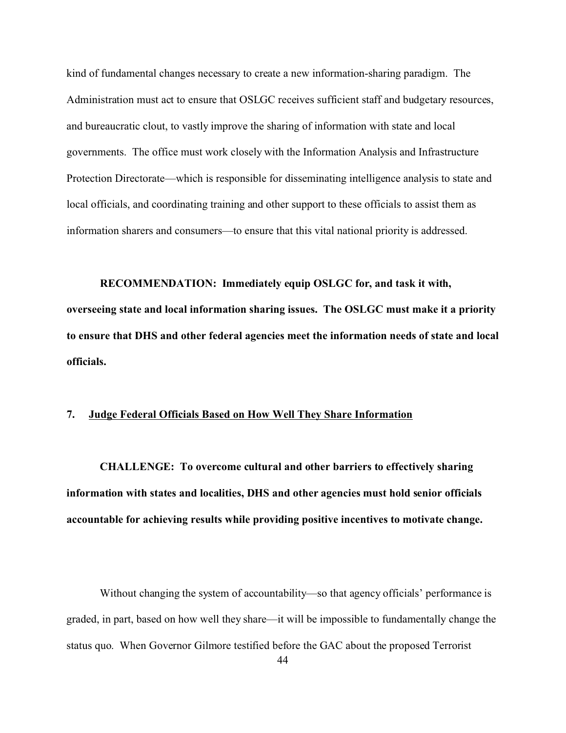kind of fundamental changes necessary to create a new information-sharing paradigm. The Administration must act to ensure that OSLGC receives sufficient staff and budgetary resources, and bureaucratic clout, to vastly improve the sharing of information with state and local governments. The office must work closely with the Information Analysis and Infrastructure Protection Directorate—which is responsible for disseminating intelligence analysis to state and local officials, and coordinating training and other support to these officials to assist them as information sharers and consumers—to ensure that this vital national priority is addressed.

**RECOMMENDATION: Immediately equip OSLGC for, and task it with, overseeing state and local information sharing issues. The OSLGC must make it a priority to ensure that DHS and other federal agencies meet the information needs of state and local officials.** 

#### **7. Judge Federal Officials Based on How Well They Share Information**

**CHALLENGE: To overcome cultural and other barriers to effectively sharing information with states and localities, DHS and other agencies must hold senior officials accountable for achieving results while providing positive incentives to motivate change.** 

Without changing the system of accountability—so that agency officials' performance is graded, in part, based on how well they share—it will be impossible to fundamentally change the status quo. When Governor Gilmore testified before the GAC about the proposed Terrorist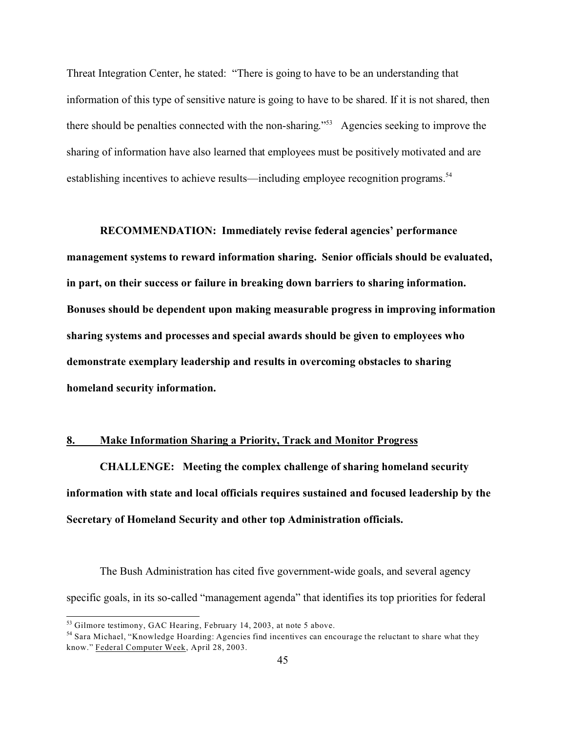Threat Integration Center, he stated: "There is going to have to be an understanding that information of this type of sensitive nature is going to have to be shared. If it is not shared, then there should be penalties connected with the non-sharing."<sup>53</sup> Agencies seeking to improve the sharing of information have also learned that employees must be positively motivated and are establishing incentives to achieve results—including employee recognition programs.<sup>54</sup>

**RECOMMENDATION: Immediately revise federal agencies' performance management systems to reward information sharing. Senior officials should be evaluated, in part, on their success or failure in breaking down barriers to sharing information. Bonuses should be dependent upon making measurable progress in improving information sharing systems and processes and special awards should be given to employees who demonstrate exemplary leadership and results in overcoming obstacles to sharing homeland security information.** 

#### **8. Make Information Sharing a Priority, Track and Monitor Progress**

**CHALLENGE: Meeting the complex challenge of sharing homeland security information with state and local officials requires sustained and focused leadership by the Secretary of Homeland Security and other top Administration officials.** 

The Bush Administration has cited five government-wide goals, and several agency specific goals, in its so-called "management agenda" that identifies its top priorities for federal

<sup>&</sup>lt;sup>53</sup> Gilmore testimony, GAC Hearing, February 14, 2003, at note 5 above.

<sup>&</sup>lt;sup>54</sup> Sara Michael, "Knowledge Hoarding: Agencies find incentives can encourage the reluctant to share what they know." Federal Computer Week, April 28, 2003.